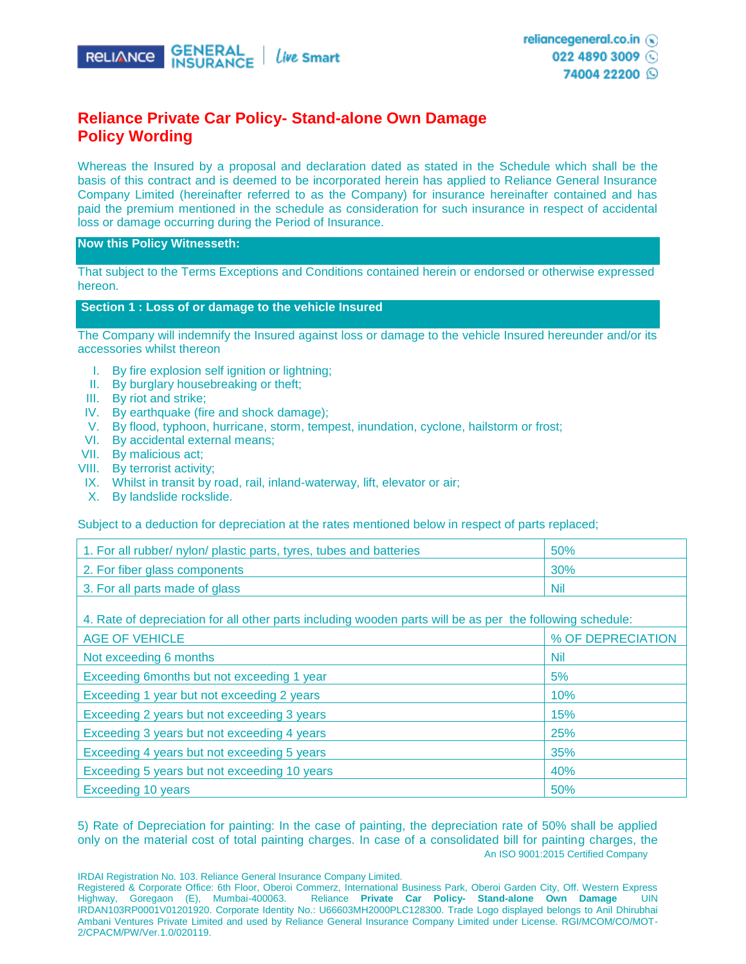

# **Reliance Private Car Policy- Stand-alone Own Damage Policy Wording**

Whereas the Insured by a proposal and declaration dated as stated in the Schedule which shall be the basis of this contract and is deemed to be incorporated herein has applied to Reliance General Insurance Company Limited (hereinafter referred to as the Company) for insurance hereinafter contained and has paid the premium mentioned in the schedule as consideration for such insurance in respect of accidental loss or damage occurring during the Period of Insurance.

#### **Now this Policy Witnesseth:**

That subject to the Terms Exceptions and Conditions contained herein or endorsed or otherwise expressed hereon.

#### **Section 1 : Loss of or damage to the vehicle Insured**

The Company will indemnify the Insured against loss or damage to the vehicle Insured hereunder and/or its accessories whilst thereon

- I. By fire explosion self ignition or lightning;
- II. By burglary housebreaking or theft;
- III. By riot and strike;
- IV. By earthquake (fire and shock damage);
- V. By flood, typhoon, hurricane, storm, tempest, inundation, cyclone, hailstorm or frost;
- VI. By accidental external means;
- VII. By malicious act;
- VIII. By terrorist activity;
- IX. Whilst in transit by road, rail, inland-waterway, lift, elevator or air;
- X. By landslide rockslide.

Subject to a deduction for depreciation at the rates mentioned below in respect of parts replaced;

| 1. For all rubber/ nylon/ plastic parts, tyres, tubes and batteries | 50%        |
|---------------------------------------------------------------------|------------|
| 2. For fiber glass components                                       | 30%        |
| 3. For all parts made of glass                                      | <b>Nil</b> |

4. Rate of depreciation for all other parts including wooden parts will be as per the following schedule:

| <b>AGE OF VEHICLE</b>                        | % OF DEPRECIATION |
|----------------------------------------------|-------------------|
| Not exceeding 6 months                       | <b>Nil</b>        |
| Exceeding 6months but not exceeding 1 year   | 5%                |
| Exceeding 1 year but not exceeding 2 years   | 10%               |
| Exceeding 2 years but not exceeding 3 years  | 15%               |
| Exceeding 3 years but not exceeding 4 years  | 25%               |
| Exceeding 4 years but not exceeding 5 years  | 35%               |
| Exceeding 5 years but not exceeding 10 years | 40%               |
| Exceeding 10 years                           | 50%               |

An ISO 9001:2015 Certified Company 5) Rate of Depreciation for painting: In the case of painting, the depreciation rate of 50% shall be applied only on the material cost of total painting charges. In case of a consolidated bill for painting charges, the

IRDAI Registration No. 103. Reliance General Insurance Company Limited.

Registered & Corporate Office: 6th Floor, Oberoi Commerz, International Business Park, Oberoi Garden City, Off. Western Express Highway, Goregaon (E), Mumbai-400063. Reliance **Private Car Policy- Stand-alone Own Damage** UIN IRDAN103RP0001V01201920. Corporate Identity No.: U66603MH2000PLC128300. Trade Logo displayed belongs to Anil Dhirubhai Ambani Ventures Private Limited and used by Reliance General Insurance Company Limited under License. RGI/MCOM/CO/MOT-2/CPACM/PW/Ver.1.0/020119.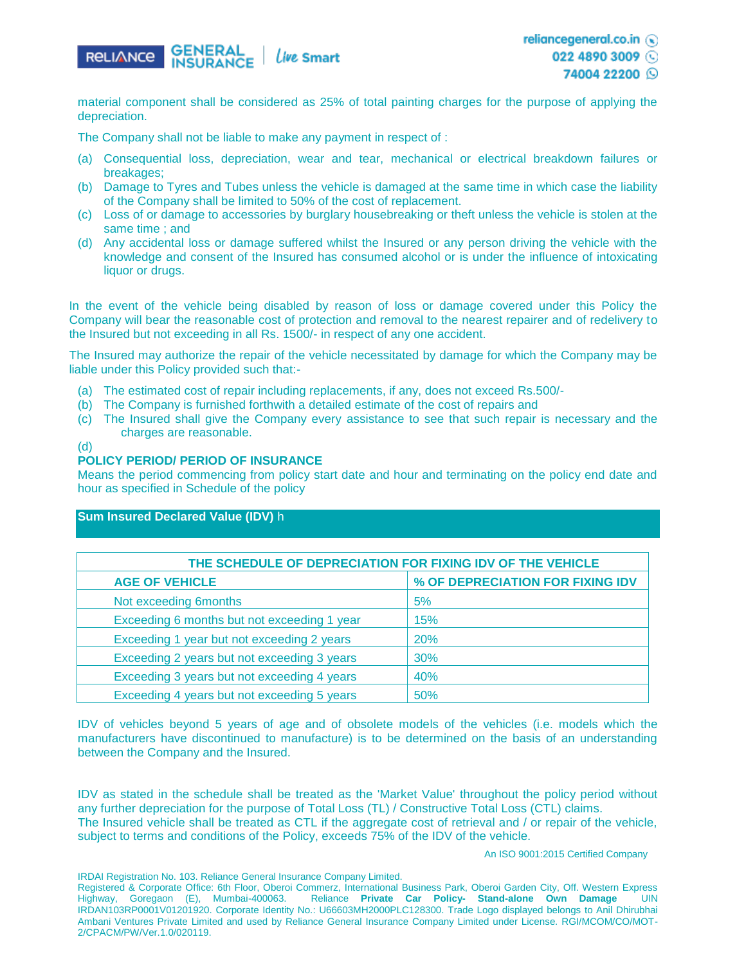

reliancegeneral.co.in (a)

022 4890 3009

74004 22200 Q

material component shall be considered as 25% of total painting charges for the purpose of applying the depreciation.

The Company shall not be liable to make any payment in respect of :

- (a) Consequential loss, depreciation, wear and tear, mechanical or electrical breakdown failures or breakages;
- (b) Damage to Tyres and Tubes unless the vehicle is damaged at the same time in which case the liability of the Company shall be limited to 50% of the cost of replacement.
- (c) Loss of or damage to accessories by burglary housebreaking or theft unless the vehicle is stolen at the same time ; and
- (d) Any accidental loss or damage suffered whilst the Insured or any person driving the vehicle with the knowledge and consent of the Insured has consumed alcohol or is under the influence of intoxicating liquor or drugs.

In the event of the vehicle being disabled by reason of loss or damage covered under this Policy the Company will bear the reasonable cost of protection and removal to the nearest repairer and of redelivery to the Insured but not exceeding in all Rs. 1500/- in respect of any one accident.

The Insured may authorize the repair of the vehicle necessitated by damage for which the Company may be liable under this Policy provided such that:-

- (a) The estimated cost of repair including replacements, if any, does not exceed Rs.500/-
- (b) The Company is furnished forthwith a detailed estimate of the cost of repairs and
- (c) The Insured shall give the Company every assistance to see that such repair is necessary and the charges are reasonable.
- (d)

#### **POLICY PERIOD/ PERIOD OF INSURANCE**

Means the period commencing from policy start date and hour and terminating on the policy end date and hour as specified in Schedule of the policy

## **Sum Insured Declared Value (IDV)** h

| THE SCHEDULE OF DEPRECIATION FOR FIXING IDV OF THE VEHICLE |                                  |  |  |
|------------------------------------------------------------|----------------------------------|--|--|
| <b>AGE OF VEHICLE</b>                                      | % OF DEPRECIATION FOR FIXING IDV |  |  |
| Not exceeding 6months                                      | 5%                               |  |  |
| Exceeding 6 months but not exceeding 1 year                | 15%                              |  |  |
| Exceeding 1 year but not exceeding 2 years                 | <b>20%</b>                       |  |  |
| Exceeding 2 years but not exceeding 3 years                | 30%                              |  |  |
| Exceeding 3 years but not exceeding 4 years                | 40%                              |  |  |
| Exceeding 4 years but not exceeding 5 years                | 50%                              |  |  |

IDV of vehicles beyond 5 years of age and of obsolete models of the vehicles (i.e. models which the manufacturers have discontinued to manufacture) is to be determined on the basis of an understanding between the Company and the Insured.

IDV as stated in the schedule shall be treated as the 'Market Value' throughout the policy period without any further depreciation for the purpose of Total Loss (TL) / Constructive Total Loss (CTL) claims. The Insured vehicle shall be treated as CTL if the aggregate cost of retrieval and / or repair of the vehicle, subject to terms and conditions of the Policy, exceeds 75% of the IDV of the vehicle.

An ISO 9001:2015 Certified Company

IRDAI Registration No. 103. Reliance General Insurance Company Limited.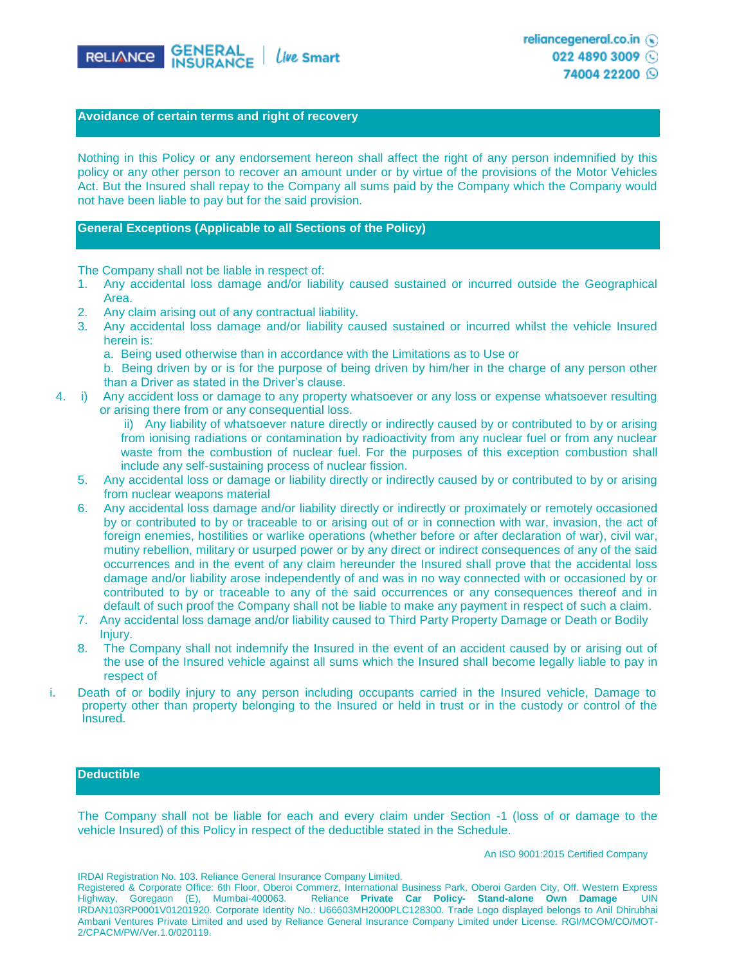

022 4890 3009

74004 22200 Q

## **Avoidance of certain terms and right of recovery**

Nothing in this Policy or any endorsement hereon shall affect the right of any person indemnified by this policy or any other person to recover an amount under or by virtue of the provisions of the Motor Vehicles Act. But the Insured shall repay to the Company all sums paid by the Company which the Company would not have been liable to pay but for the said provision.

## **General Exceptions (Applicable to all Sections of the Policy)**

The Company shall not be liable in respect of:

- 1. Any accidental loss damage and/or liability caused sustained or incurred outside the Geographical Area.
- 2. Any claim arising out of any contractual liability.
- 3. Any accidental loss damage and/or liability caused sustained or incurred whilst the vehicle Insured herein is:
	- a. Being used otherwise than in accordance with the Limitations as to Use or

b. Being driven by or is for the purpose of being driven by him/her in the charge of any person other than a Driver as stated in the Driver's clause.

4. i) Any accident loss or damage to any property whatsoever or any loss or expense whatsoever resulting or arising there from or any consequential loss.

ii) Any liability of whatsoever nature directly or indirectly caused by or contributed to by or arising from ionising radiations or contamination by radioactivity from any nuclear fuel or from any nuclear waste from the combustion of nuclear fuel. For the purposes of this exception combustion shall include any self-sustaining process of nuclear fission.

- 5. Any accidental loss or damage or liability directly or indirectly caused by or contributed to by or arising from nuclear weapons material
- 6. Any accidental loss damage and/or liability directly or indirectly or proximately or remotely occasioned by or contributed to by or traceable to or arising out of or in connection with war, invasion, the act of foreign enemies, hostilities or warlike operations (whether before or after declaration of war), civil war, mutiny rebellion, military or usurped power or by any direct or indirect consequences of any of the said occurrences and in the event of any claim hereunder the Insured shall prove that the accidental loss damage and/or liability arose independently of and was in no way connected with or occasioned by or contributed to by or traceable to any of the said occurrences or any consequences thereof and in default of such proof the Company shall not be liable to make any payment in respect of such a claim.
- 7. Any accidental loss damage and/or liability caused to Third Party Property Damage or Death or Bodily Injury.
- 8. The Company shall not indemnify the Insured in the event of an accident caused by or arising out of the use of the Insured vehicle against all sums which the Insured shall become legally liable to pay in respect of
- i. Death of or bodily injury to any person including occupants carried in the Insured vehicle, Damage to property other than property belonging to the Insured or held in trust or in the custody or control of the Insured.

#### **Deductible**

The Company shall not be liable for each and every claim under Section -1 (loss of or damage to the vehicle Insured) of this Policy in respect of the deductible stated in the Schedule.

An ISO 9001:2015 Certified Company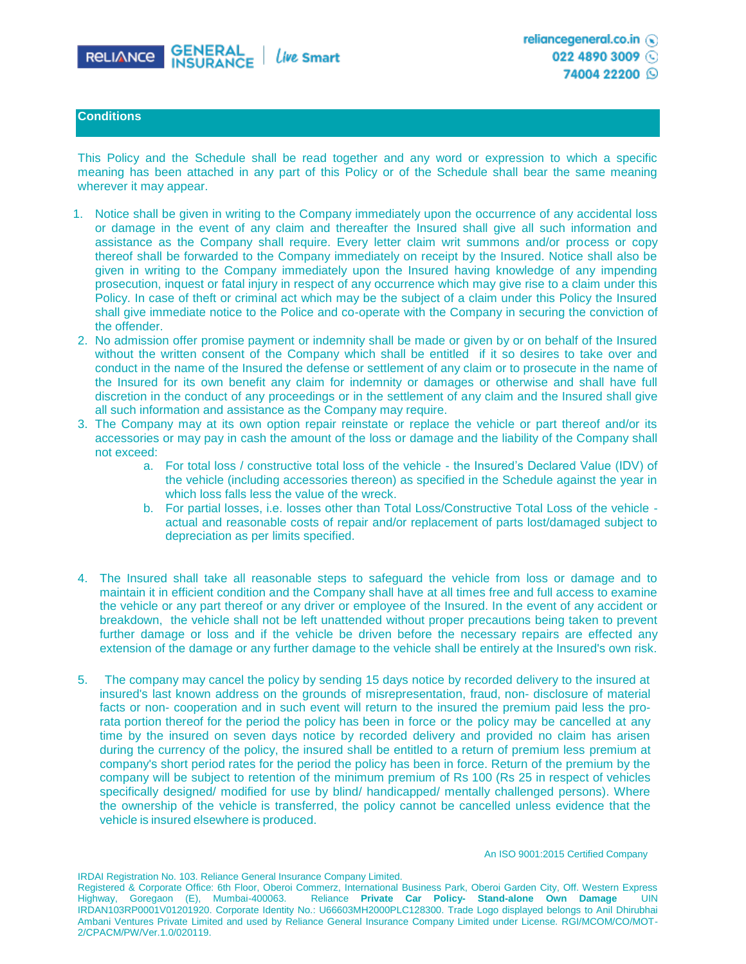

74004 22200 Q

## **Conditions**

This Policy and the Schedule shall be read together and any word or expression to which a specific meaning has been attached in any part of this Policy or of the Schedule shall bear the same meaning wherever it may appear.

- 1. Notice shall be given in writing to the Company immediately upon the occurrence of any accidental loss or damage in the event of any claim and thereafter the Insured shall give all such information and assistance as the Company shall require. Every letter claim writ summons and/or process or copy thereof shall be forwarded to the Company immediately on receipt by the Insured. Notice shall also be given in writing to the Company immediately upon the Insured having knowledge of any impending prosecution, inquest or fatal injury in respect of any occurrence which may give rise to a claim under this Policy. In case of theft or criminal act which may be the subject of a claim under this Policy the Insured shall give immediate notice to the Police and co-operate with the Company in securing the conviction of the offender.
- 2. No admission offer promise payment or indemnity shall be made or given by or on behalf of the Insured without the written consent of the Company which shall be entitled if it so desires to take over and conduct in the name of the Insured the defense or settlement of any claim or to prosecute in the name of the Insured for its own benefit any claim for indemnity or damages or otherwise and shall have full discretion in the conduct of any proceedings or in the settlement of any claim and the Insured shall give all such information and assistance as the Company may require.
- 3. The Company may at its own option repair reinstate or replace the vehicle or part thereof and/or its accessories or may pay in cash the amount of the loss or damage and the liability of the Company shall not exceed:
	- a. For total loss / constructive total loss of the vehicle the Insured's Declared Value (IDV) of the vehicle (including accessories thereon) as specified in the Schedule against the year in which loss falls less the value of the wreck.
	- b. For partial losses, i.e. losses other than Total Loss/Constructive Total Loss of the vehicle actual and reasonable costs of repair and/or replacement of parts lost/damaged subject to depreciation as per limits specified.
- 4. The Insured shall take all reasonable steps to safeguard the vehicle from loss or damage and to maintain it in efficient condition and the Company shall have at all times free and full access to examine the vehicle or any part thereof or any driver or employee of the Insured. In the event of any accident or breakdown, the vehicle shall not be left unattended without proper precautions being taken to prevent further damage or loss and if the vehicle be driven before the necessary repairs are effected any extension of the damage or any further damage to the vehicle shall be entirely at the Insured's own risk.
- 5. The company may cancel the policy by sending 15 days notice by recorded delivery to the insured at insured's last known address on the grounds of misrepresentation, fraud, non- disclosure of material facts or non- cooperation and in such event will return to the insured the premium paid less the prorata portion thereof for the period the policy has been in force or the policy may be cancelled at any time by the insured on seven days notice by recorded delivery and provided no claim has arisen during the currency of the policy, the insured shall be entitled to a return of premium less premium at company's short period rates for the period the policy has been in force. Return of the premium by the company will be subject to retention of the minimum premium of Rs 100 (Rs 25 in respect of vehicles specifically designed/ modified for use by blind/ handicapped/ mentally challenged persons). Where the ownership of the vehicle is transferred, the policy cannot be cancelled unless evidence that the vehicle is insured elsewhere is produced.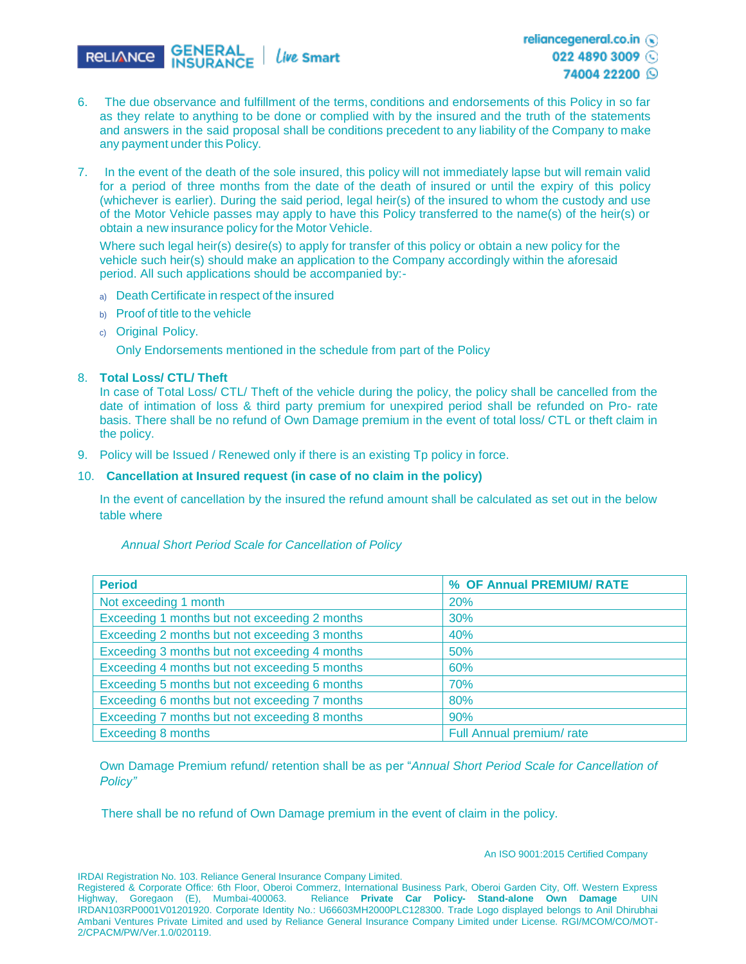

022 4890 3009

#### 74004 22200 Q

- 6. The due observance and fulfillment of the terms, conditions and endorsements of this Policy in so far as they relate to anything to be done or complied with by the insured and the truth of the statements and answers in the said proposal shall be conditions precedent to any liability of the Company to make any payment under this Policy.
- 7. In the event of the death of the sole insured, this policy will not immediately lapse but will remain valid for a period of three months from the date of the death of insured or until the expiry of this policy (whichever is earlier). During the said period, legal heir(s) of the insured to whom the custody and use of the Motor Vehicle passes may apply to have this Policy transferred to the name(s) of the heir(s) or obtain a new insurance policy for the Motor Vehicle.

Where such legal heir(s) desire(s) to apply for transfer of this policy or obtain a new policy for the vehicle such heir(s) should make an application to the Company accordingly within the aforesaid period. All such applications should be accompanied by:-

- a) Death Certificate in respect of the insured
- b) Proof of title to the vehicle
- c) Original Policy.

Only Endorsements mentioned in the schedule from part of the Policy

## 8. **Total Loss/ CTL/ Theft**

In case of Total Loss/ CTL/ Theft of the vehicle during the policy, the policy shall be cancelled from the date of intimation of loss & third party premium for unexpired period shall be refunded on Pro- rate basis. There shall be no refund of Own Damage premium in the event of total loss/ CTL or theft claim in the policy.

9. Policy will be Issued / Renewed only if there is an existing Tp policy in force.

## 10. **Cancellation at Insured request (in case of no claim in the policy)**

In the event of cancellation by the insured the refund amount shall be calculated as set out in the below table where

| <b>Period</b>                                 | % OF Annual PREMIUM/ RATE |
|-----------------------------------------------|---------------------------|
| Not exceeding 1 month                         | <b>20%</b>                |
| Exceeding 1 months but not exceeding 2 months | 30%                       |
| Exceeding 2 months but not exceeding 3 months | 40%                       |
| Exceeding 3 months but not exceeding 4 months | 50%                       |
| Exceeding 4 months but not exceeding 5 months | 60%                       |
| Exceeding 5 months but not exceeding 6 months | 70%                       |
| Exceeding 6 months but not exceeding 7 months | 80%                       |
| Exceeding 7 months but not exceeding 8 months | 90%                       |
| <b>Exceeding 8 months</b>                     | Full Annual premium/rate  |

*Annual Short Period Scale for Cancellation of Policy* 

Own Damage Premium refund/ retention shall be as per "*Annual Short Period Scale for Cancellation of Policy"*

There shall be no refund of Own Damage premium in the event of claim in the policy.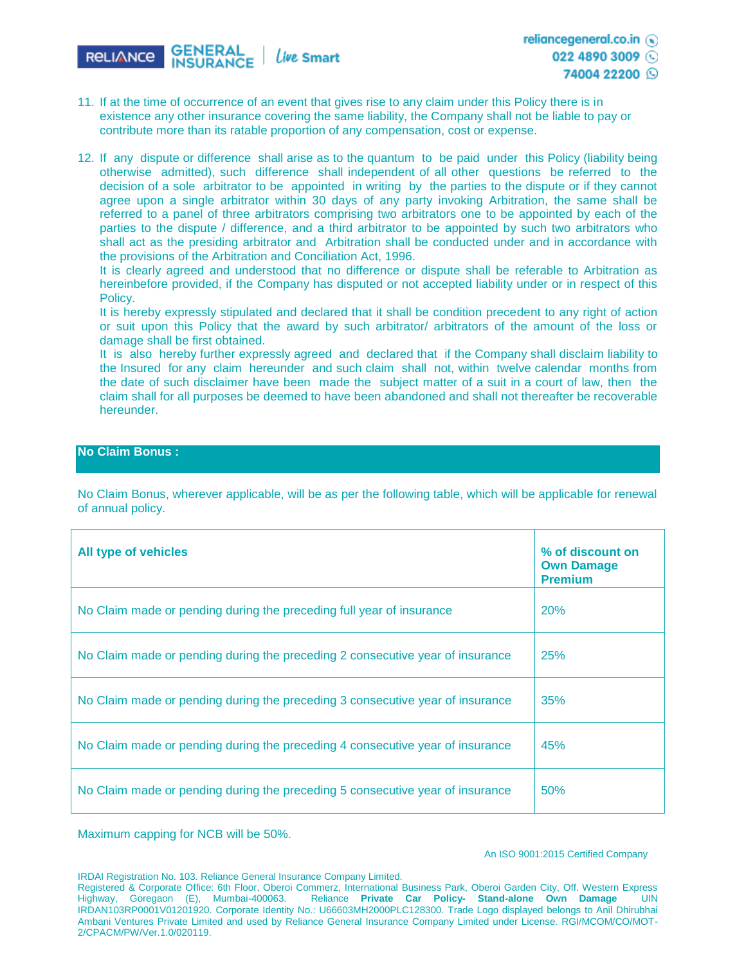

- 11. If at the time of occurrence of an event that gives rise to any claim under this Policy there is in existence any other insurance covering the same liability, the Company shall not be liable to pay or contribute more than its ratable proportion of any compensation, cost or expense.
- 12. If any dispute or difference shall arise as to the quantum to be paid under this Policy (liability being otherwise admitted), such difference shall independent of all other questions be referred to the decision of a sole arbitrator to be appointed in writing by the parties to the dispute or if they cannot agree upon a single arbitrator within 30 days of any party invoking Arbitration, the same shall be referred to a panel of three arbitrators comprising two arbitrators one to be appointed by each of the parties to the dispute / difference, and a third arbitrator to be appointed by such two arbitrators who shall act as the presiding arbitrator and Arbitration shall be conducted under and in accordance with the provisions of the Arbitration and Conciliation Act, 1996.

It is clearly agreed and understood that no difference or dispute shall be referable to Arbitration as hereinbefore provided, if the Company has disputed or not accepted liability under or in respect of this Policy.

It is hereby expressly stipulated and declared that it shall be condition precedent to any right of action or suit upon this Policy that the award by such arbitrator/ arbitrators of the amount of the loss or damage shall be first obtained.

It is also hereby further expressly agreed and declared that if the Company shall disclaim liability to the Insured for any claim hereunder and such claim shall not, within twelve calendar months from the date of such disclaimer have been made the subject matter of a suit in a court of law, then the claim shall for all purposes be deemed to have been abandoned and shall not thereafter be recoverable hereunder.

## **No Claim Bonus :**

No Claim Bonus, wherever applicable, will be as per the following table, which will be applicable for renewal of annual policy.

| <b>All type of vehicles</b>                                                   | % of discount on<br><b>Own Damage</b><br><b>Premium</b> |
|-------------------------------------------------------------------------------|---------------------------------------------------------|
| No Claim made or pending during the preceding full year of insurance          | 20%                                                     |
| No Claim made or pending during the preceding 2 consecutive year of insurance | 25%                                                     |
| No Claim made or pending during the preceding 3 consecutive year of insurance | 35%                                                     |
| No Claim made or pending during the preceding 4 consecutive year of insurance | 45%                                                     |
| No Claim made or pending during the preceding 5 consecutive year of insurance | 50%                                                     |

Maximum capping for NCB will be 50%.

#### An ISO 9001:2015 Certified Company

IRDAI Registration No. 103. Reliance General Insurance Company Limited.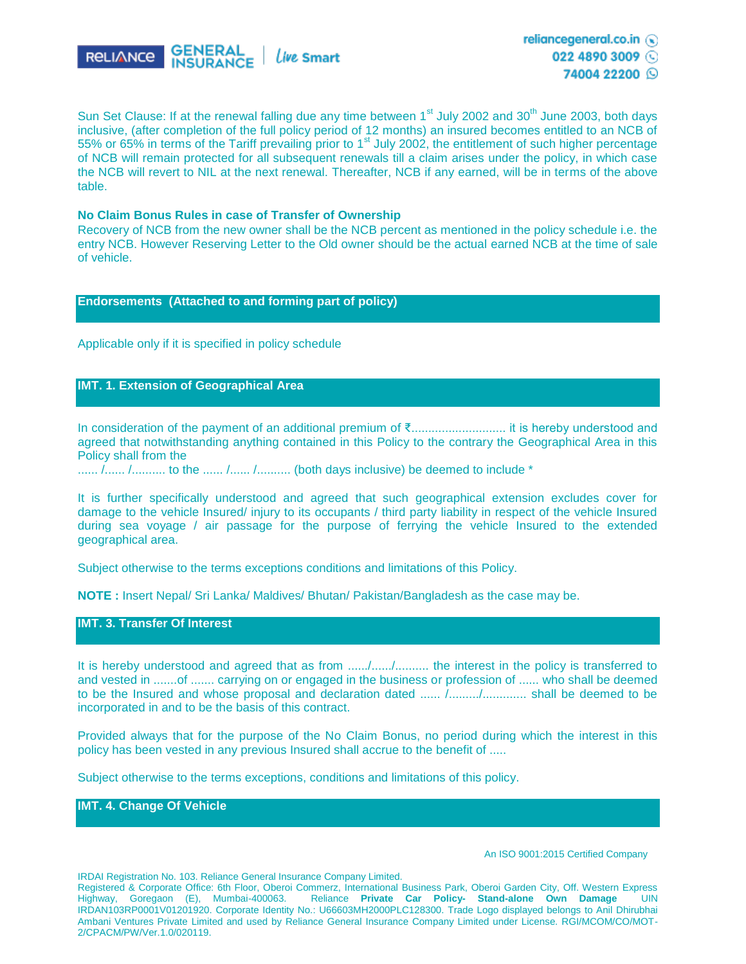

Sun Set Clause: If at the renewal falling due any time between 1<sup>st</sup> July 2002 and 30<sup>th</sup> June 2003, both days inclusive, (after completion of the full policy period of 12 months) an insured becomes entitled to an NCB of 55% or 65% in terms of the Tariff prevailing prior to 1<sup>st</sup> July 2002, the entitlement of such higher percentage of NCB will remain protected for all subsequent renewals till a claim arises under the policy, in which case the NCB will revert to NIL at the next renewal. Thereafter, NCB if any earned, will be in terms of the above table.

#### **No Claim Bonus Rules in case of Transfer of Ownership**

Recovery of NCB from the new owner shall be the NCB percent as mentioned in the policy schedule i.e. the entry NCB. However Reserving Letter to the Old owner should be the actual earned NCB at the time of sale of vehicle.

#### **Endorsements (Attached to and forming part of policy)**

Applicable only if it is specified in policy schedule

#### **IMT. 1. Extension of Geographical Area**

In consideration of the payment of an additional premium of ₹............................ it is hereby understood and agreed that notwithstanding anything contained in this Policy to the contrary the Geographical Area in this Policy shall from the

...... /...... /.......... to the ...... /...... /......... (both days inclusive) be deemed to include \*

It is further specifically understood and agreed that such geographical extension excludes cover for damage to the vehicle Insured/ injury to its occupants / third party liability in respect of the vehicle Insured during sea voyage / air passage for the purpose of ferrying the vehicle Insured to the extended geographical area.

Subject otherwise to the terms exceptions conditions and limitations of this Policy.

**NOTE :** Insert Nepal/ Sri Lanka/ Maldives/ Bhutan/ Pakistan/Bangladesh as the case may be.

**IMT. 3. Transfer Of Interest**

It is hereby understood and agreed that as from ....../....../.......... the interest in the policy is transferred to and vested in .......of ....... carrying on or engaged in the business or profession of ...... who shall be deemed to be the Insured and whose proposal and declaration dated ...... /........./............. shall be deemed to be incorporated in and to be the basis of this contract.

Provided always that for the purpose of the No Claim Bonus, no period during which the interest in this policy has been vested in any previous Insured shall accrue to the benefit of .....

Subject otherwise to the terms exceptions, conditions and limitations of this policy.

**IMT. 4. Change Of Vehicle**

#### An ISO 9001:2015 Certified Company

IRDAI Registration No. 103. Reliance General Insurance Company Limited.

Registered & Corporate Office: 6th Floor, Oberoi Commerz, International Business Park, Oberoi Garden City, Off. Western Express Highway, Goregaon (E), Mumbai-400063. Reliance **Private Car Policy- Stand-alone Own Damage** UIN IRDAN103RP0001V01201920. Corporate Identity No.: U66603MH2000PLC128300. Trade Logo displayed belongs to Anil Dhirubhai Ambani Ventures Private Limited and used by Reliance General Insurance Company Limited under License. RGI/MCOM/CO/MOT-2/CPACM/PW/Ver.1.0/020119.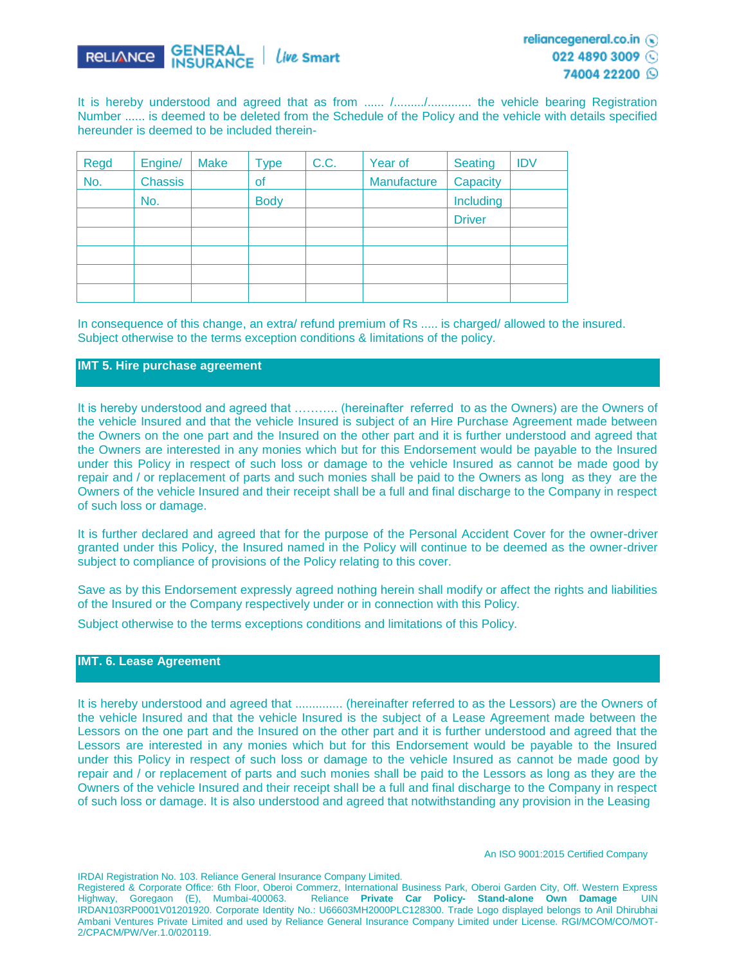

74004 22200 Q

It is hereby understood and agreed that as from ...... /........./............... the vehicle bearing Registration Number ...... is deemed to be deleted from the Schedule of the Policy and the vehicle with details specified hereunder is deemed to be included therein-

| <b>Regd</b> | Engine/        | <b>Make</b> | <b>Type</b> | C.C. | Year of     | <b>Seating</b> | <b>IDV</b> |
|-------------|----------------|-------------|-------------|------|-------------|----------------|------------|
| No.         | <b>Chassis</b> |             | of          |      | Manufacture | Capacity       |            |
|             | No.            |             | <b>Body</b> |      |             | Including      |            |
|             |                |             |             |      |             | <b>Driver</b>  |            |
|             |                |             |             |      |             |                |            |
|             |                |             |             |      |             |                |            |
|             |                |             |             |      |             |                |            |
|             |                |             |             |      |             |                |            |

In consequence of this change, an extra/ refund premium of Rs ..... is charged/ allowed to the insured. Subject otherwise to the terms exception conditions & limitations of the policy.

## **IMT 5. Hire purchase agreement**

It is hereby understood and agreed that ……….. (hereinafter referred to as the Owners) are the Owners of the vehicle Insured and that the vehicle Insured is subject of an Hire Purchase Agreement made between the Owners on the one part and the Insured on the other part and it is further understood and agreed that the Owners are interested in any monies which but for this Endorsement would be payable to the Insured under this Policy in respect of such loss or damage to the vehicle Insured as cannot be made good by repair and / or replacement of parts and such monies shall be paid to the Owners as long as they are the Owners of the vehicle Insured and their receipt shall be a full and final discharge to the Company in respect of such loss or damage.

It is further declared and agreed that for the purpose of the Personal Accident Cover for the owner-driver granted under this Policy, the Insured named in the Policy will continue to be deemed as the owner-driver subject to compliance of provisions of the Policy relating to this cover.

Save as by this Endorsement expressly agreed nothing herein shall modify or affect the rights and liabilities of the Insured or the Company respectively under or in connection with this Policy.

Subject otherwise to the terms exceptions conditions and limitations of this Policy.

### **IMT. 6. Lease Agreement**

It is hereby understood and agreed that ................ (hereinafter referred to as the Lessors) are the Owners of the vehicle Insured and that the vehicle Insured is the subject of a Lease Agreement made between the Lessors on the one part and the Insured on the other part and it is further understood and agreed that the Lessors are interested in any monies which but for this Endorsement would be payable to the Insured under this Policy in respect of such loss or damage to the vehicle Insured as cannot be made good by repair and / or replacement of parts and such monies shall be paid to the Lessors as long as they are the Owners of the vehicle Insured and their receipt shall be a full and final discharge to the Company in respect of such loss or damage. It is also understood and agreed that notwithstanding any provision in the Leasing

IRDAI Registration No. 103. Reliance General Insurance Company Limited.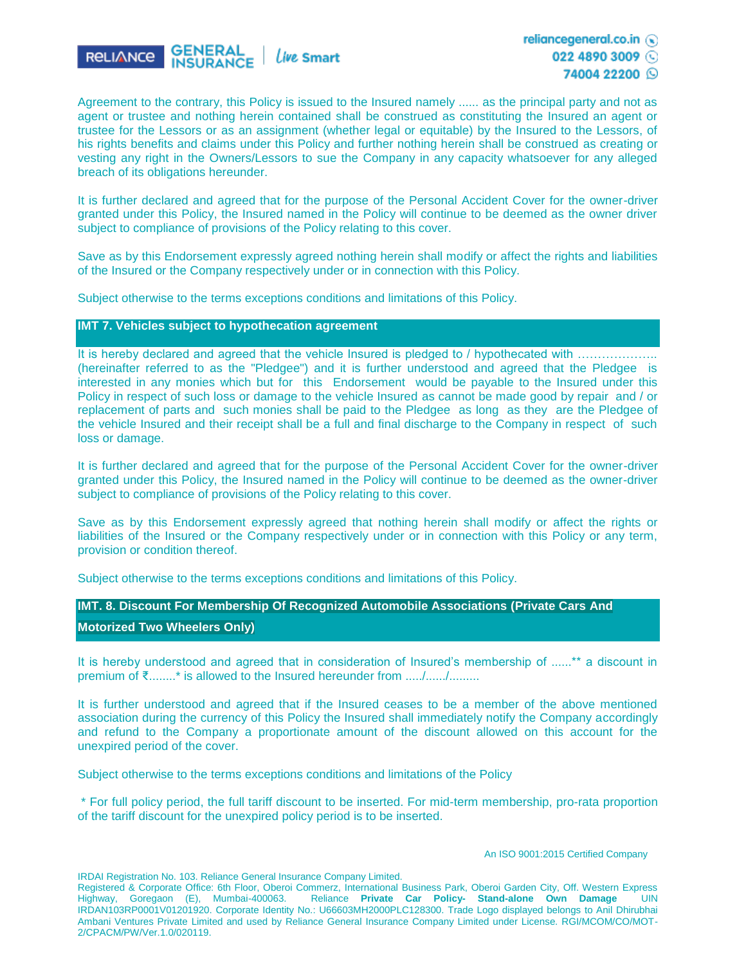

Agreement to the contrary, this Policy is issued to the Insured namely ...... as the principal party and not as agent or trustee and nothing herein contained shall be construed as constituting the Insured an agent or trustee for the Lessors or as an assignment (whether legal or equitable) by the Insured to the Lessors, of his rights benefits and claims under this Policy and further nothing herein shall be construed as creating or vesting any right in the Owners/Lessors to sue the Company in any capacity whatsoever for any alleged breach of its obligations hereunder.

It is further declared and agreed that for the purpose of the Personal Accident Cover for the owner-driver granted under this Policy, the Insured named in the Policy will continue to be deemed as the owner driver subject to compliance of provisions of the Policy relating to this cover.

Save as by this Endorsement expressly agreed nothing herein shall modify or affect the rights and liabilities of the Insured or the Company respectively under or in connection with this Policy.

Subject otherwise to the terms exceptions conditions and limitations of this Policy.

**IMT 7. Vehicles subject to hypothecation agreement**

It is hereby declared and agreed that the vehicle Insured is pledged to / hypothecated with ……………. (hereinafter referred to as the "Pledgee") and it is further understood and agreed that the Pledgee is interested in any monies which but for this Endorsement would be payable to the Insured under this Policy in respect of such loss or damage to the vehicle Insured as cannot be made good by repair and / or replacement of parts and such monies shall be paid to the Pledgee as long as they are the Pledgee of the vehicle Insured and their receipt shall be a full and final discharge to the Company in respect of such loss or damage.

It is further declared and agreed that for the purpose of the Personal Accident Cover for the owner-driver granted under this Policy, the Insured named in the Policy will continue to be deemed as the owner-driver subject to compliance of provisions of the Policy relating to this cover.

Save as by this Endorsement expressly agreed that nothing herein shall modify or affect the rights or liabilities of the Insured or the Company respectively under or in connection with this Policy or any term, provision or condition thereof.

Subject otherwise to the terms exceptions conditions and limitations of this Policy.

**IMT. 8. Discount For Membership Of Recognized Automobile Associations (Private Cars And** 

**Motorized Two Wheelers Only)**

It is hereby understood and agreed that in consideration of Insured's membership of ......\*\* a discount in premium of ₹........\* is allowed to the Insured hereunder from ...../......./.........

It is further understood and agreed that if the Insured ceases to be a member of the above mentioned association during the currency of this Policy the Insured shall immediately notify the Company accordingly and refund to the Company a proportionate amount of the discount allowed on this account for the unexpired period of the cover.

Subject otherwise to the terms exceptions conditions and limitations of the Policy

\* For full policy period, the full tariff discount to be inserted. For mid-term membership, pro-rata proportion of the tariff discount for the unexpired policy period is to be inserted.

IRDAI Registration No. 103. Reliance General Insurance Company Limited.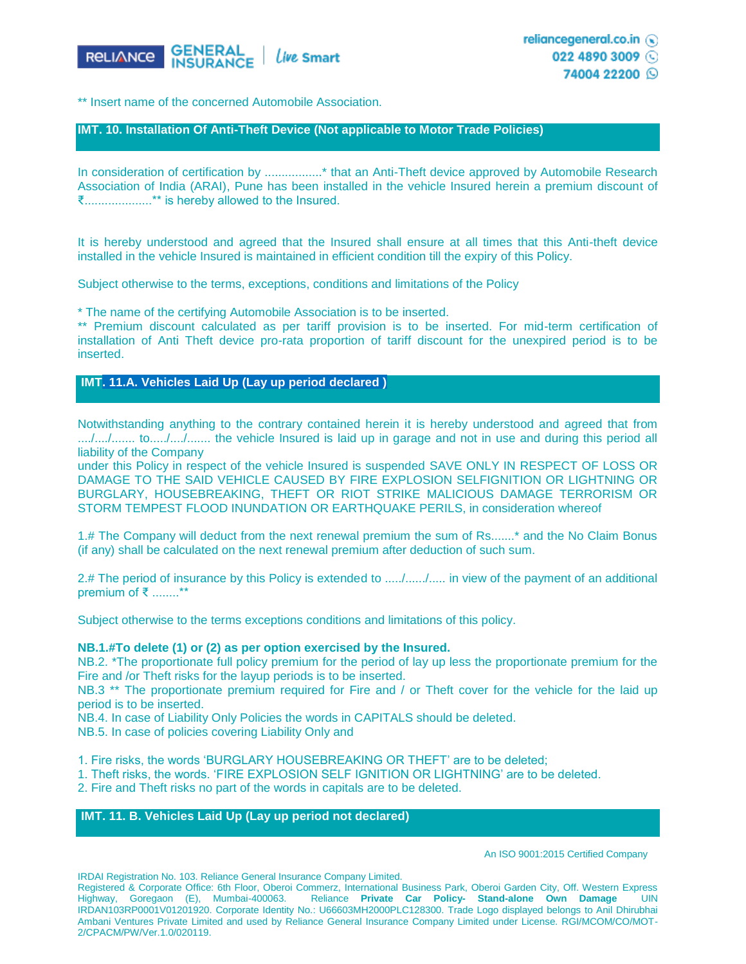

\*\* Insert name of the concerned Automobile Association.

#### **IMT. 10. Installation Of Anti-Theft Device (Not applicable to Motor Trade Policies)**

In consideration of certification by .................\* that an Anti-Theft device approved by Automobile Research Association of India (ARAI), Pune has been installed in the vehicle Insured herein a premium discount of ₹....................\*\* is hereby allowed to the Insured.

It is hereby understood and agreed that the Insured shall ensure at all times that this Anti-theft device installed in the vehicle Insured is maintained in efficient condition till the expiry of this Policy.

Subject otherwise to the terms, exceptions, conditions and limitations of the Policy

\* The name of the certifying Automobile Association is to be inserted.

\*\* Premium discount calculated as per tariff provision is to be inserted. For mid-term certification of installation of Anti Theft device pro-rata proportion of tariff discount for the unexpired period is to be inserted.

**IMT. 11.A. Vehicles Laid Up (Lay up period declared )**

Notwithstanding anything to the contrary contained herein it is hereby understood and agreed that from ..../..../....... to...../..../....... the vehicle Insured is laid up in garage and not in use and during this period all liability of the Company

under this Policy in respect of the vehicle Insured is suspended SAVE ONLY IN RESPECT OF LOSS OR DAMAGE TO THE SAID VEHICLE CAUSED BY FIRE EXPLOSION SELFIGNITION OR LIGHTNING OR BURGLARY, HOUSEBREAKING, THEFT OR RIOT STRIKE MALICIOUS DAMAGE TERRORISM OR STORM TEMPEST FLOOD INUNDATION OR EARTHQUAKE PERILS, in consideration whereof

1.# The Company will deduct from the next renewal premium the sum of Rs.......\* and the No Claim Bonus (if any) shall be calculated on the next renewal premium after deduction of such sum.

2.# The period of insurance by this Policy is extended to ...../....../..... in view of the payment of an additional premium of ₹ ........\*\*

Subject otherwise to the terms exceptions conditions and limitations of this policy.

#### **NB.1.#To delete (1) or (2) as per option exercised by the Insured.**

NB.2. \*The proportionate full policy premium for the period of lay up less the proportionate premium for the Fire and /or Theft risks for the layup periods is to be inserted.

NB.3<sup>\*\*</sup> The proportionate premium required for Fire and / or Theft cover for the vehicle for the laid up period is to be inserted.

NB.4. In case of Liability Only Policies the words in CAPITALS should be deleted.

NB.5. In case of policies covering Liability Only and

1. Fire risks, the words 'BURGLARY HOUSEBREAKING OR THEFT' are to be deleted;

1. Theft risks, the words. 'FIRE EXPLOSION SELF IGNITION OR LIGHTNING' are to be deleted.

2. Fire and Theft risks no part of the words in capitals are to be deleted.

## **IMT. 11. B. Vehicles Laid Up (Lay up period not declared)**

An ISO 9001:2015 Certified Company

IRDAI Registration No. 103. Reliance General Insurance Company Limited.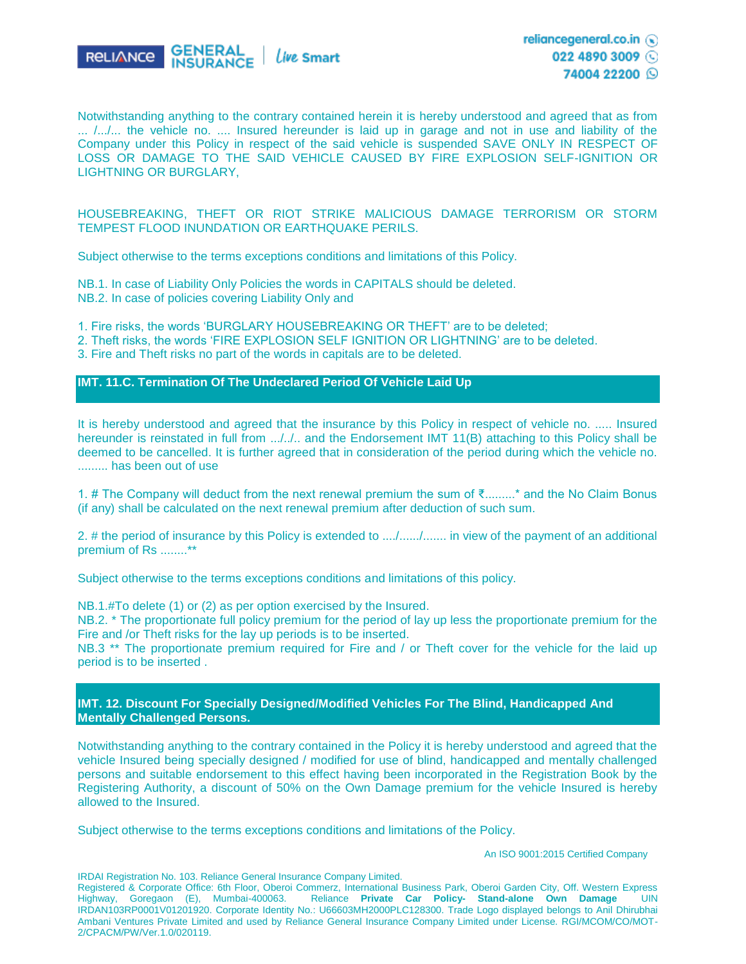

Notwithstanding anything to the contrary contained herein it is hereby understood and agreed that as from ... /.../... the vehicle no. .... Insured hereunder is laid up in garage and not in use and liability of the Company under this Policy in respect of the said vehicle is suspended SAVE ONLY IN RESPECT OF LOSS OR DAMAGE TO THE SAID VEHICLE CAUSED BY FIRE EXPLOSION SELF-IGNITION OR LIGHTNING OR BURGLARY,

## HOUSEBREAKING, THEFT OR RIOT STRIKE MALICIOUS DAMAGE TERRORISM OR STORM TEMPEST FLOOD INUNDATION OR EARTHQUAKE PERILS.

Subject otherwise to the terms exceptions conditions and limitations of this Policy.

NB.1. In case of Liability Only Policies the words in CAPITALS should be deleted. NB.2. In case of policies covering Liability Only and

1. Fire risks, the words 'BURGLARY HOUSEBREAKING OR THEFT' are to be deleted;

2. Theft risks, the words 'FIRE EXPLOSION SELF IGNITION OR LIGHTNING' are to be deleted.

3. Fire and Theft risks no part of the words in capitals are to be deleted.

### **IMT. 11.C. Termination Of The Undeclared Period Of Vehicle Laid Up**

It is hereby understood and agreed that the insurance by this Policy in respect of vehicle no. ..... Insured hereunder is reinstated in full from .../../.. and the Endorsement IMT 11(B) attaching to this Policy shall be deemed to be cancelled. It is further agreed that in consideration of the period during which the vehicle no. ......... has been out of use

1. # The Company will deduct from the next renewal premium the sum of ₹.........\* and the No Claim Bonus (if any) shall be calculated on the next renewal premium after deduction of such sum.

2. # the period of insurance by this Policy is extended to ..../....../....... in view of the payment of an additional premium of Rs ........\*\*

Subject otherwise to the terms exceptions conditions and limitations of this policy.

NB.1.#To delete (1) or (2) as per option exercised by the Insured.

NB.2. \* The proportionate full policy premium for the period of lay up less the proportionate premium for the Fire and /or Theft risks for the lay up periods is to be inserted.

NB.3<sup>\*\*</sup> The proportionate premium required for Fire and / or Theft cover for the vehicle for the laid up period is to be inserted .

**IMT. 12. Discount For Specially Designed/Modified Vehicles For The Blind, Handicapped And Mentally Challenged Persons.** 

Notwithstanding anything to the contrary contained in the Policy it is hereby understood and agreed that the vehicle Insured being specially designed / modified for use of blind, handicapped and mentally challenged persons and suitable endorsement to this effect having been incorporated in the Registration Book by the Registering Authority, a discount of 50% on the Own Damage premium for the vehicle Insured is hereby allowed to the Insured.

Subject otherwise to the terms exceptions conditions and limitations of the Policy.

An ISO 9001:2015 Certified Company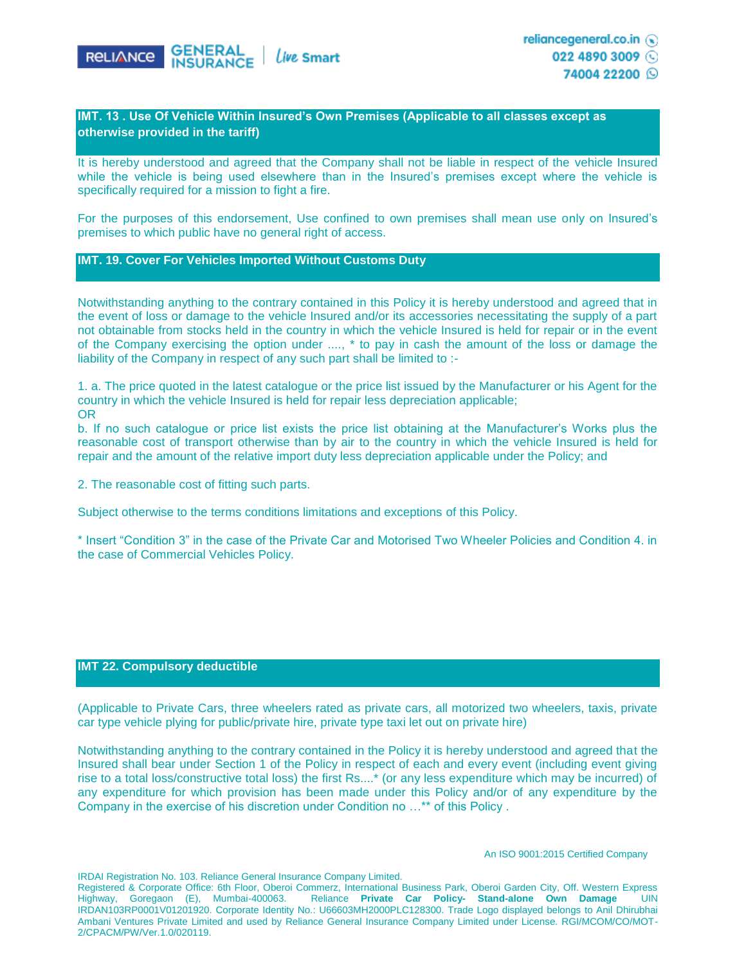

022 4890 3009 74004 22200 Q

## **IMT. 13 . Use Of Vehicle Within Insured's Own Premises (Applicable to all classes except as otherwise provided in the tariff)**

It is hereby understood and agreed that the Company shall not be liable in respect of the vehicle Insured while the vehicle is being used elsewhere than in the Insured's premises except where the vehicle is specifically required for a mission to fight a fire.

For the purposes of this endorsement, Use confined to own premises shall mean use only on Insured's premises to which public have no general right of access.

## **IMT. 19. Cover For Vehicles Imported Without Customs Duty**

Notwithstanding anything to the contrary contained in this Policy it is hereby understood and agreed that in the event of loss or damage to the vehicle Insured and/or its accessories necessitating the supply of a part not obtainable from stocks held in the country in which the vehicle Insured is held for repair or in the event of the Company exercising the option under ...., \* to pay in cash the amount of the loss or damage the liability of the Company in respect of any such part shall be limited to :-

1. a. The price quoted in the latest catalogue or the price list issued by the Manufacturer or his Agent for the country in which the vehicle Insured is held for repair less depreciation applicable; OR

b. If no such catalogue or price list exists the price list obtaining at the Manufacturer's Works plus the reasonable cost of transport otherwise than by air to the country in which the vehicle Insured is held for repair and the amount of the relative import duty less depreciation applicable under the Policy; and

2. The reasonable cost of fitting such parts.

Subject otherwise to the terms conditions limitations and exceptions of this Policy.

\* Insert "Condition 3" in the case of the Private Car and Motorised Two Wheeler Policies and Condition 4. in the case of Commercial Vehicles Policy.

### **IMT 22. Compulsory deductible**

(Applicable to Private Cars, three wheelers rated as private cars, all motorized two wheelers, taxis, private car type vehicle plying for public/private hire, private type taxi let out on private hire)

Notwithstanding anything to the contrary contained in the Policy it is hereby understood and agreed that the Insured shall bear under Section 1 of the Policy in respect of each and every event (including event giving rise to a total loss/constructive total loss) the first Rs....\* (or any less expenditure which may be incurred) of any expenditure for which provision has been made under this Policy and/or of any expenditure by the Company in the exercise of his discretion under Condition no …\*\* of this Policy .

IRDAI Registration No. 103. Reliance General Insurance Company Limited.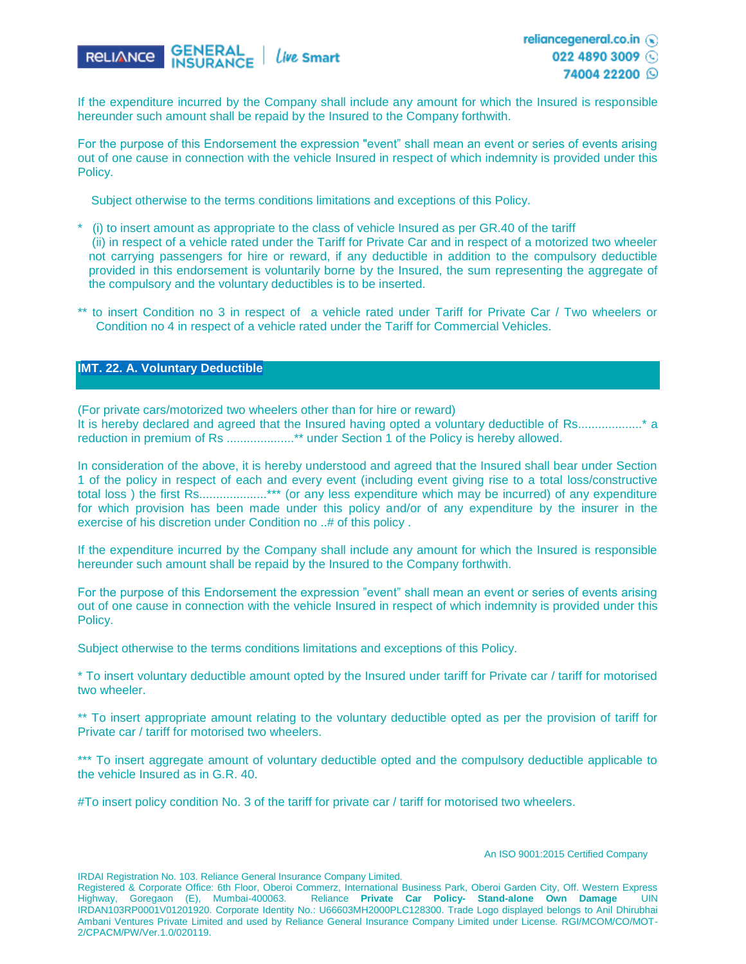

If the expenditure incurred by the Company shall include any amount for which the Insured is responsible hereunder such amount shall be repaid by the Insured to the Company forthwith.

For the purpose of this Endorsement the expression "event" shall mean an event or series of events arising out of one cause in connection with the vehicle Insured in respect of which indemnity is provided under this Policy.

Subject otherwise to the terms conditions limitations and exceptions of this Policy.

- \* (i) to insert amount as appropriate to the class of vehicle Insured as per GR.40 of the tariff (ii) in respect of a vehicle rated under the Tariff for Private Car and in respect of a motorized two wheeler not carrying passengers for hire or reward, if any deductible in addition to the compulsory deductible provided in this endorsement is voluntarily borne by the Insured, the sum representing the aggregate of the compulsory and the voluntary deductibles is to be inserted.
- \*\* to insert Condition no 3 in respect of a vehicle rated under Tariff for Private Car / Two wheelers or Condition no 4 in respect of a vehicle rated under the Tariff for Commercial Vehicles.

## **IMT. 22. A. Voluntary Deductible**

(For private cars/motorized two wheelers other than for hire or reward) It is hereby declared and agreed that the Insured having opted a voluntary deductible of Rs...................\* a reduction in premium of Rs .....................\*\* under Section 1 of the Policy is hereby allowed.

In consideration of the above, it is hereby understood and agreed that the Insured shall bear under Section 1 of the policy in respect of each and every event (including event giving rise to a total loss/constructive total loss ) the first Rs....................\*\*\* (or any less expenditure which may be incurred) of any expenditure for which provision has been made under this policy and/or of any expenditure by the insurer in the exercise of his discretion under Condition no ..# of this policy .

If the expenditure incurred by the Company shall include any amount for which the Insured is responsible hereunder such amount shall be repaid by the Insured to the Company forthwith.

For the purpose of this Endorsement the expression "event" shall mean an event or series of events arising out of one cause in connection with the vehicle Insured in respect of which indemnity is provided under this Policy.

Subject otherwise to the terms conditions limitations and exceptions of this Policy.

\* To insert voluntary deductible amount opted by the Insured under tariff for Private car / tariff for motorised two wheeler.

\*\* To insert appropriate amount relating to the voluntary deductible opted as per the provision of tariff for Private car / tariff for motorised two wheelers.

\*\*\* To insert aggregate amount of voluntary deductible opted and the compulsory deductible applicable to the vehicle Insured as in G.R. 40.

#To insert policy condition No. 3 of the tariff for private car / tariff for motorised two wheelers.

IRDAI Registration No. 103. Reliance General Insurance Company Limited.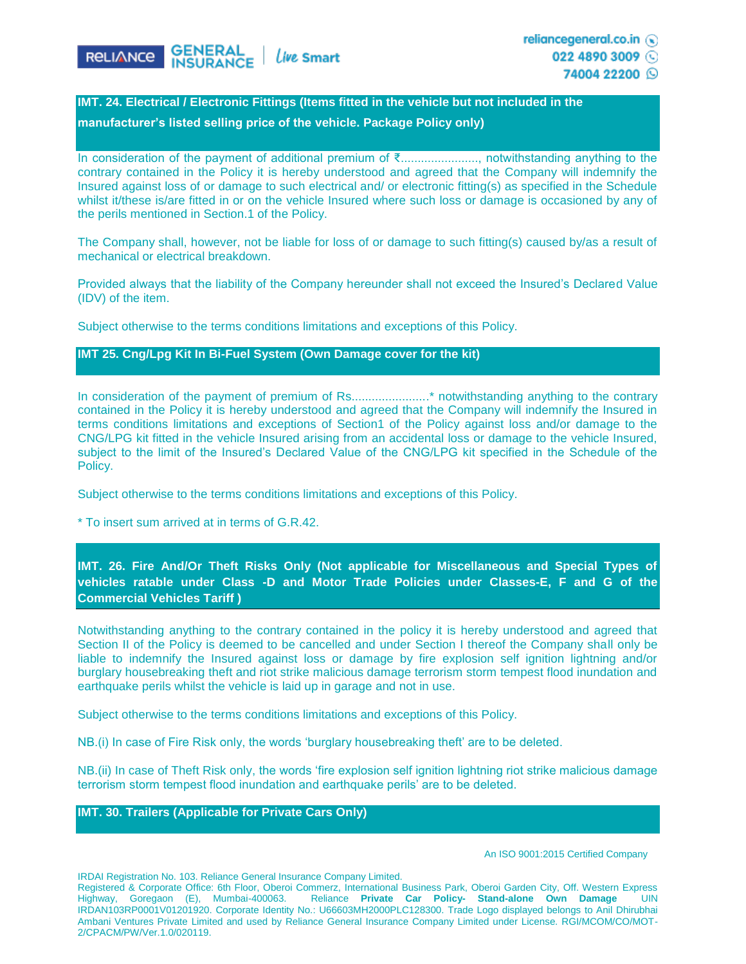

reliancegeneral.co.in (a) 022 4890 3009

74004 22200 Q

# **IMT. 24. Electrical / Electronic Fittings (Items fitted in the vehicle but not included in the manufacturer's listed selling price of the vehicle. Package Policy only)**

In consideration of the payment of additional premium of ₹......................., notwithstanding anything to the contrary contained in the Policy it is hereby understood and agreed that the Company will indemnify the Insured against loss of or damage to such electrical and/ or electronic fitting(s) as specified in the Schedule whilst it/these is/are fitted in or on the vehicle Insured where such loss or damage is occasioned by any of the perils mentioned in Section.1 of the Policy.

The Company shall, however, not be liable for loss of or damage to such fitting(s) caused by/as a result of mechanical or electrical breakdown.

Provided always that the liability of the Company hereunder shall not exceed the Insured's Declared Value (IDV) of the item.

Subject otherwise to the terms conditions limitations and exceptions of this Policy.

## **IMT 25. Cng/Lpg Kit In Bi-Fuel System (Own Damage cover for the kit)**

In consideration of the payment of premium of Rs.......................\* notwithstanding anything to the contrary contained in the Policy it is hereby understood and agreed that the Company will indemnify the Insured in terms conditions limitations and exceptions of Section1 of the Policy against loss and/or damage to the CNG/LPG kit fitted in the vehicle Insured arising from an accidental loss or damage to the vehicle Insured, subject to the limit of the Insured's Declared Value of the CNG/LPG kit specified in the Schedule of the Policy.

Subject otherwise to the terms conditions limitations and exceptions of this Policy.

\* To insert sum arrived at in terms of G.R.42.

## **IMT. 26. Fire And/Or Theft Risks Only (Not applicable for Miscellaneous and Special Types of vehicles ratable under Class -D and Motor Trade Policies under Classes-E, F and G of the Commercial Vehicles Tariff )**

Notwithstanding anything to the contrary contained in the policy it is hereby understood and agreed that Section II of the Policy is deemed to be cancelled and under Section I thereof the Company shall only be liable to indemnify the Insured against loss or damage by fire explosion self ignition lightning and/or burglary housebreaking theft and riot strike malicious damage terrorism storm tempest flood inundation and earthquake perils whilst the vehicle is laid up in garage and not in use.

Subject otherwise to the terms conditions limitations and exceptions of this Policy.

NB.(i) In case of Fire Risk only, the words 'burglary housebreaking theft' are to be deleted.

NB.(ii) In case of Theft Risk only, the words 'fire explosion self ignition lightning riot strike malicious damage terrorism storm tempest flood inundation and earthquake perils' are to be deleted.

## **IMT. 30. Trailers (Applicable for Private Cars Only)**

#### An ISO 9001:2015 Certified Company

IRDAI Registration No. 103. Reliance General Insurance Company Limited.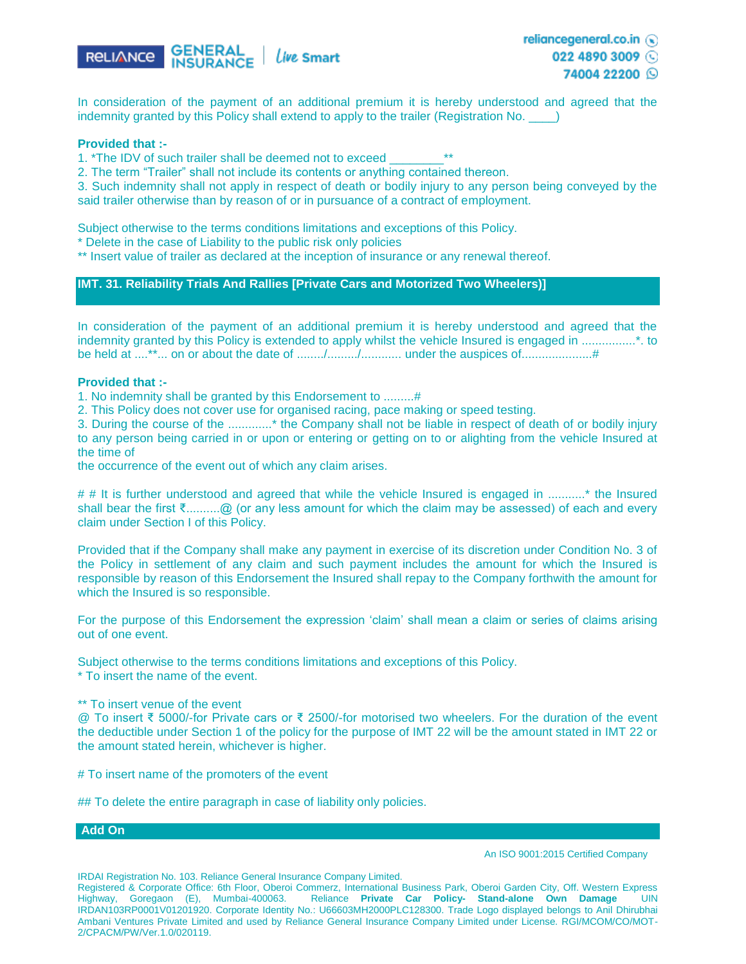

In consideration of the payment of an additional premium it is hereby understood and agreed that the indemnity granted by this Policy shall extend to apply to the trailer (Registration No.

#### **Provided that :-**

1. \*The IDV of such trailer shall be deemed not to exceed

2. The term "Trailer" shall not include its contents or anything contained thereon.

3. Such indemnity shall not apply in respect of death or bodily injury to any person being conveyed by the said trailer otherwise than by reason of or in pursuance of a contract of employment.

Subject otherwise to the terms conditions limitations and exceptions of this Policy.

\* Delete in the case of Liability to the public risk only policies

\*\* Insert value of trailer as declared at the inception of insurance or any renewal thereof.

#### **IMT. 31. Reliability Trials And Rallies [Private Cars and Motorized Two Wheelers)]**

In consideration of the payment of an additional premium it is hereby understood and agreed that the indemnity granted by this Policy is extended to apply whilst the vehicle Insured is engaged in ................\*. to be held at ....\*\*... on or about the date of ......../........./............ under the auspices of.....................#

#### **Provided that :-**

1. No indemnity shall be granted by this Endorsement to .........#

2. This Policy does not cover use for organised racing, pace making or speed testing.

3. During the course of the .............\* the Company shall not be liable in respect of death of or bodily injury to any person being carried in or upon or entering or getting on to or alighting from the vehicle Insured at the time of

the occurrence of the event out of which any claim arises.

# # It is further understood and agreed that while the vehicle Insured is engaged in ...........\* the Insured shall bear the first ₹...........@ (or any less amount for which the claim may be assessed) of each and every claim under Section I of this Policy.

Provided that if the Company shall make any payment in exercise of its discretion under Condition No. 3 of the Policy in settlement of any claim and such payment includes the amount for which the Insured is responsible by reason of this Endorsement the Insured shall repay to the Company forthwith the amount for which the Insured is so responsible.

For the purpose of this Endorsement the expression 'claim' shall mean a claim or series of claims arising out of one event.

Subject otherwise to the terms conditions limitations and exceptions of this Policy.

\* To insert the name of the event.

#### \*\* To insert venue of the event

@ To insert ₹ 5000/-for Private cars or ₹ 2500/-for motorised two wheelers. For the duration of the event the deductible under Section 1 of the policy for the purpose of IMT 22 will be the amount stated in IMT 22 or the amount stated herein, whichever is higher.

# To insert name of the promoters of the event

## To delete the entire paragraph in case of liability only policies.

#### **Add On**

An ISO 9001:2015 Certified Company

IRDAI Registration No. 103. Reliance General Insurance Company Limited.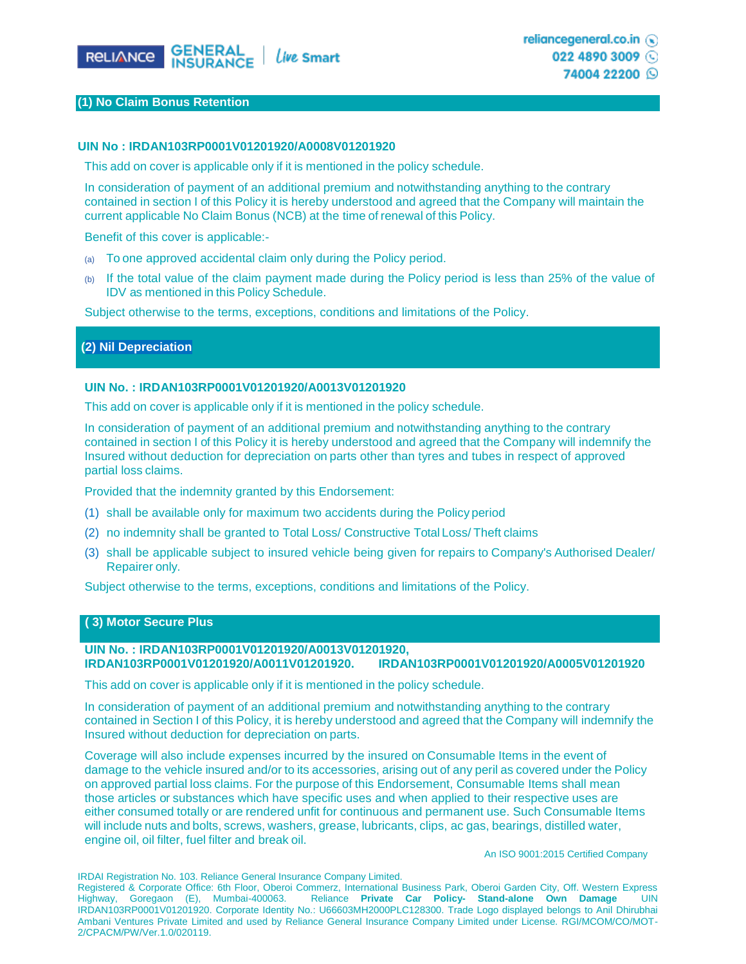

#### **(1) No Claim Bonus Retention**

#### **UIN No : IRDAN103RP0001V01201920/A0008V01201920**

This add on cover is applicable only if it is mentioned in the policy schedule.

In consideration of payment of an additional premium and notwithstanding anything to the contrary contained in section I of this Policy it is hereby understood and agreed that the Company will maintain the current applicable No Claim Bonus (NCB) at the time of renewal of this Policy.

Benefit of this cover is applicable:-

- (a) To one approved accidental claim only during the Policy period.
- (b) If the total value of the claim payment made during the Policy period is less than 25% of the value of IDV as mentioned in this Policy Schedule.

Subject otherwise to the terms, exceptions, conditions and limitations of the Policy.

### **(2) Nil Depreciation**

#### **UIN No. : IRDAN103RP0001V01201920/A0013V01201920**

This add on cover is applicable only if it is mentioned in the policy schedule.

In consideration of payment of an additional premium and notwithstanding anything to the contrary contained in section I of this Policy it is hereby understood and agreed that the Company will indemnify the Insured without deduction for depreciation on parts other than tyres and tubes in respect of approved partial loss claims.

Provided that the indemnity granted by this Endorsement:

- (1) shall be available only for maximum two accidents during the Policy period
- (2) no indemnity shall be granted to Total Loss/ Constructive Total Loss/ Theft claims
- (3) shall be applicable subject to insured vehicle being given for repairs to Company's Authorised Dealer/ Repairer only.

Subject otherwise to the terms, exceptions, conditions and limitations of the Policy.

### **( 3) Motor Secure Plus**

## **UIN No. : IRDAN103RP0001V01201920/A0013V01201920, IRDAN103RP0001V01201920/A0011V01201920. IRDAN103RP0001V01201920/A0005V01201920**

This add on cover is applicable only if it is mentioned in the policy schedule.

In consideration of payment of an additional premium and notwithstanding anything to the contrary contained in Section I of this Policy, it is hereby understood and agreed that the Company will indemnify the Insured without deduction for depreciation on parts.

Coverage will also include expenses incurred by the insured on Consumable Items in the event of damage to the vehicle insured and/or to its accessories, arising out of any peril as covered under the Policy on approved partial loss claims. For the purpose of this Endorsement, Consumable Items shall mean those articles or substances which have specific uses and when applied to their respective uses are either consumed totally or are rendered unfit for continuous and permanent use. Such Consumable Items will include nuts and bolts, screws, washers, grease, lubricants, clips, ac gas, bearings, distilled water, engine oil, oil filter, fuel filter and break oil.

An ISO 9001:2015 Certified Company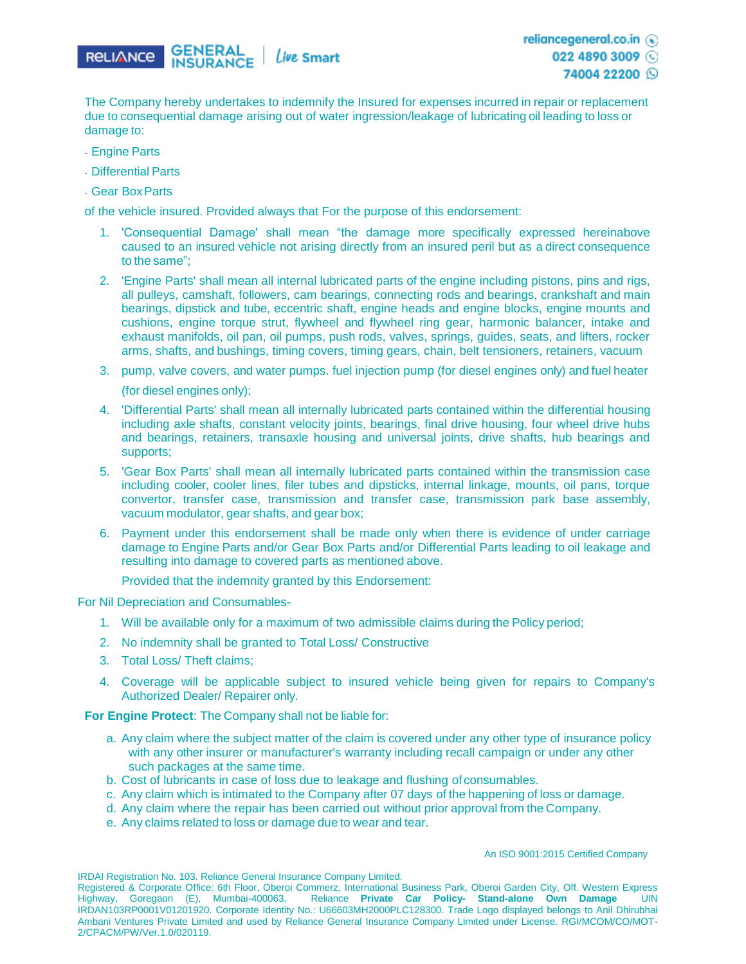

The Company hereby undertakes to indemnify the Insured for expenses incurred in repair or replacement due to consequential damage arising out of water ingression/leakage of lubricating oil leading to loss or damage to:

- Engine Parts
- Differential Parts
- Gear BoxParts

of the vehicle insured. Provided always that For the purpose of this endorsement:

- 1. 'Consequential Damage' shall mean "the damage more specifically expressed hereinabove caused to an insured vehicle not arising directly from an insured peril but as a direct consequence to the same";
- 2. 'Engine Parts' shall mean all internal lubricated parts of the engine including pistons, pins and rigs, all pulleys, camshaft, followers, cam bearings, connecting rods and bearings, crankshaft and main bearings, dipstick and tube, eccentric shaft, engine heads and engine blocks, engine mounts and cushions, engine torque strut, flywheel and flywheel ring gear, harmonic balancer, intake and exhaust manifolds, oil pan, oil pumps, push rods, valves, springs, guides, seats, and lifters, rocker arms, shafts, and bushings, timing covers, timing gears, chain, belt tensioners, retainers, vacuum
- 3. pump, valve covers, and water pumps. fuel injection pump (for diesel engines only) and fuel heater (for diesel engines only);
- 4. 'Differential Parts' shall mean all internally lubricated parts contained within the differential housing including axle shafts, constant velocity joints, bearings, final drive housing, four wheel drive hubs and bearings, retainers, transaxle housing and universal joints, drive shafts, hub bearings and supports;
- 5. 'Gear Box Parts' shall mean all internally lubricated parts contained within the transmission case including cooler, cooler lines, filer tubes and dipsticks, internal linkage, mounts, oil pans, torque convertor, transfer case, transmission and transfer case, transmission park base assembly, vacuum modulator, gear shafts, and gear box;
- 6. Payment under this endorsement shall be made only when there is evidence of under carriage damage to Engine Parts and/or Gear Box Parts and/or Differential Parts leading to oil leakage and resulting into damage to covered parts as mentioned above.

Provided that the indemnity granted by this Endorsement:

For Nil Depreciation and Consumables-

- 1. Will be available only for a maximum of two admissible claims during the Policy period;
- 2. No indemnity shall be granted to Total Loss/ Constructive
- 3. Total Loss/ Theft claims;
- 4. Coverage will be applicable subject to insured vehicle being given for repairs to Company's Authorized Dealer/ Repairer only.

**For Engine Protect**: The Company shall not be liable for:

- a. Any claim where the subject matter of the claim is covered under any other type of insurance policy with any other insurer or manufacturer's warranty including recall campaign or under any other such packages at the same time.
- b. Cost of lubricants in case of loss due to leakage and flushing of consumables.
- c. Any claim which is intimated to the Company after 07 days of the happening of loss or damage.
- d. Any claim where the repair has been carried out without prior approval from the Company.
- e. Any claims related to loss or damage due to wear and tear.

#### An ISO 9001:2015 Certified Company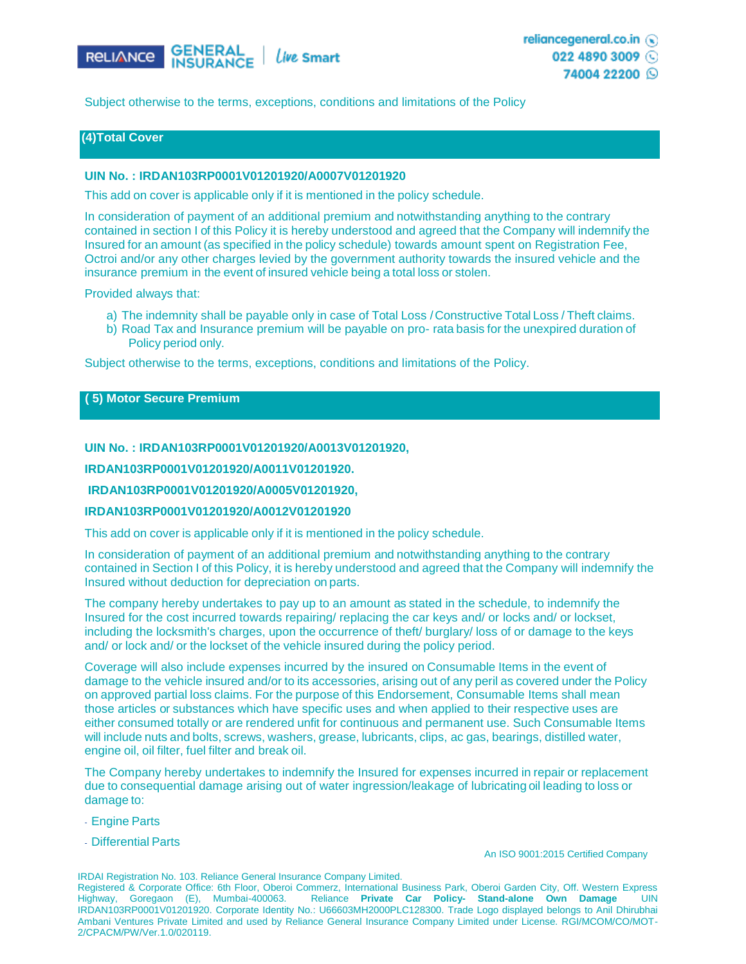

reliancegeneral.co.in (a) 022 4890 3009 74004 22200 Q

Subject otherwise to the terms, exceptions, conditions and limitations of the Policy

## **(4)Total Cover**

#### **UIN No. : IRDAN103RP0001V01201920/A0007V01201920**

This add on cover is applicable only if it is mentioned in the policy schedule.

In consideration of payment of an additional premium and notwithstanding anything to the contrary contained in section I of this Policy it is hereby understood and agreed that the Company will indemnify the Insured for an amount (as specified in the policy schedule) towards amount spent on Registration Fee, Octroi and/or any other charges levied by the government authority towards the insured vehicle and the insurance premium in the event of insured vehicle being a total loss or stolen.

Provided always that:

- a) The indemnity shall be payable only in case of Total Loss / Constructive Total Loss / Theft claims.
- b) Road Tax and Insurance premium will be payable on pro- rata basis for the unexpired duration of Policy period only.

Subject otherwise to the terms, exceptions, conditions and limitations of the Policy.

#### **( 5) Motor Secure Premium**

#### **UIN No. : IRDAN103RP0001V01201920/A0013V01201920,**

**IRDAN103RP0001V01201920/A0011V01201920.**

**IRDAN103RP0001V01201920/A0005V01201920,** 

#### **IRDAN103RP0001V01201920/A0012V01201920**

This add on cover is applicable only if it is mentioned in the policy schedule.

In consideration of payment of an additional premium and notwithstanding anything to the contrary contained in Section I of this Policy, it is hereby understood and agreed that the Company will indemnify the Insured without deduction for depreciation on parts.

The company hereby undertakes to pay up to an amount as stated in the schedule, to indemnify the Insured for the cost incurred towards repairing/ replacing the car keys and/ or locks and/ or lockset, including the locksmith's charges, upon the occurrence of theft/ burglary/ loss of or damage to the keys and/ or lock and/ or the lockset of the vehicle insured during the policy period.

Coverage will also include expenses incurred by the insured on Consumable Items in the event of damage to the vehicle insured and/or to its accessories, arising out of any peril as covered under the Policy on approved partial loss claims. For the purpose of this Endorsement, Consumable Items shall mean those articles or substances which have specific uses and when applied to their respective uses are either consumed totally or are rendered unfit for continuous and permanent use. Such Consumable Items will include nuts and bolts, screws, washers, grease, lubricants, clips, ac gas, bearings, distilled water, engine oil, oil filter, fuel filter and break oil.

The Company hereby undertakes to indemnify the Insured for expenses incurred in repair or replacement due to consequential damage arising out of water ingression/leakage of lubricating oil leading to loss or damage to:

- Engine Parts
- Differential Parts

An ISO 9001:2015 Certified Company

IRDAI Registration No. 103. Reliance General Insurance Company Limited.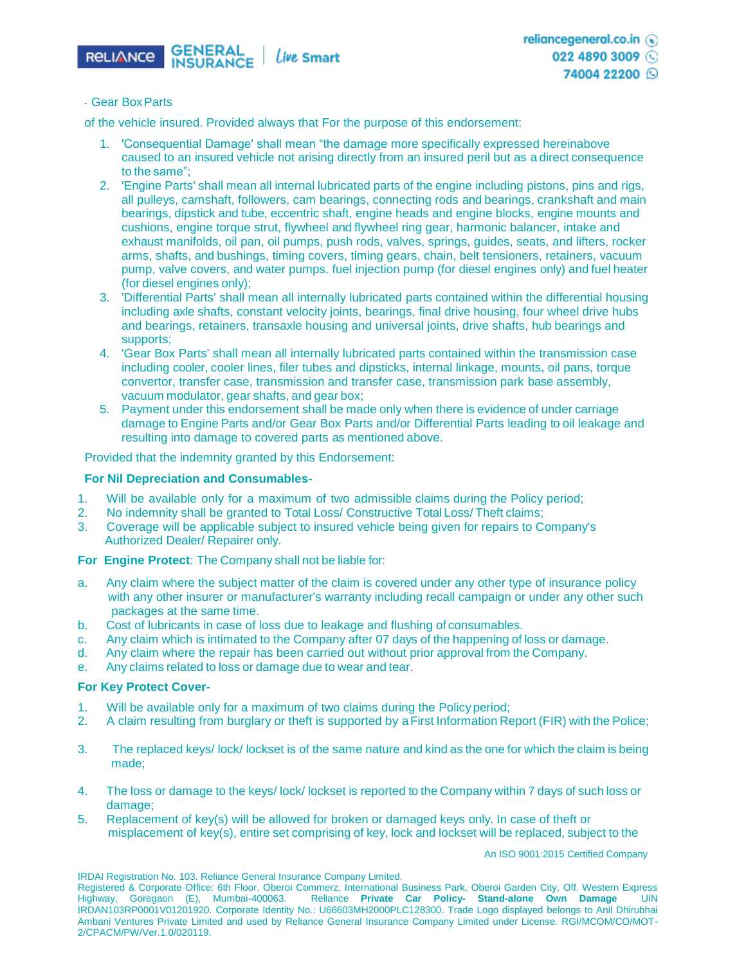

#### - Gear BoxParts

of the vehicle insured. Provided always that For the purpose of this endorsement:

- 1. 'Consequential Damage' shall mean "the damage more specifically expressed hereinabove caused to an insured vehicle not arising directly from an insured peril but as a direct consequence to the same";
- 2. 'Engine Parts' shall mean all internal lubricated parts of the engine including pistons, pins and rigs, all pulleys, camshaft, followers, cam bearings, connecting rods and bearings, crankshaft and main bearings, dipstick and tube, eccentric shaft, engine heads and engine blocks, engine mounts and cushions, engine torque strut, flywheel and flywheel ring gear, harmonic balancer, intake and exhaust manifolds, oil pan, oil pumps, push rods, valves, springs, guides, seats, and lifters, rocker arms, shafts, and bushings, timing covers, timing gears, chain, belt tensioners, retainers, vacuum pump, valve covers, and water pumps. fuel injection pump (for diesel engines only) and fuel heater (for diesel engines only);
- 3. 'Differential Parts' shall mean all internally lubricated parts contained within the differential housing including axle shafts, constant velocity joints, bearings, final drive housing, four wheel drive hubs and bearings, retainers, transaxle housing and universal joints, drive shafts, hub bearings and supports;
- 4. 'Gear Box Parts' shall mean all internally lubricated parts contained within the transmission case including cooler, cooler lines, filer tubes and dipsticks, internal linkage, mounts, oil pans, torque convertor, transfer case, transmission and transfer case, transmission park base assembly, vacuum modulator, gear shafts, and gear box;
- 5. Payment under this endorsement shall be made only when there is evidence of under carriage damage to Engine Parts and/or Gear Box Parts and/or Differential Parts leading to oil leakage and resulting into damage to covered parts as mentioned above.

Provided that the indemnity granted by this Endorsement:

#### **For Nil Depreciation and Consumables-**

- 1. Will be available only for a maximum of two admissible claims during the Policy period;
- 2. No indemnity shall be granted to Total Loss/ Constructive Total Loss/ Theft claims;
- 3. Coverage will be applicable subject to insured vehicle being given for repairs to Company's Authorized Dealer/ Repairer only.

**For Engine Protect**: The Company shall not be liable for:

- a. Any claim where the subject matter of the claim is covered under any other type of insurance policy with any other insurer or manufacturer's warranty including recall campaign or under any other such packages at the same time.
- b. Cost of lubricants in case of loss due to leakage and flushing of consumables.
- c. Any claim which is intimated to the Company after 07 days of the happening of loss or damage.
- d. Any claim where the repair has been carried out without prior approval from the Company.
- e. Any claims related to loss or damage due to wear and tear.

#### **For Key Protect Cover-**

- 1. Will be available only for a maximum of two claims during the Policyperiod;
- 2. A claim resulting from burglary or theft is supported by a First Information Report (FIR) with the Police;
- 3. The replaced keys/ lock/ lockset is of the same nature and kind as the one for which the claim is being made;
- 4. The loss or damage to the keys/ lock/ lockset is reported to the Company within 7 days of such loss or damage;
- 5. Replacement of key(s) will be allowed for broken or damaged keys only. In case of theft or misplacement of key(s), entire set comprising of key, lock and lockset will be replaced, subject to the

An ISO 9001:2015 Certified Company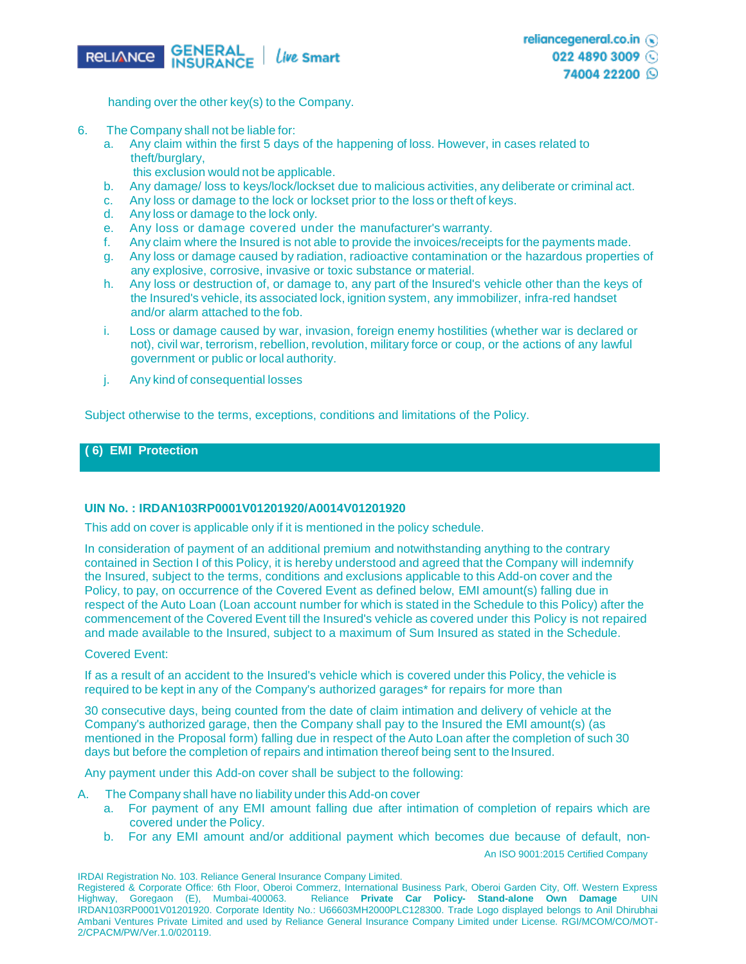

handing over the other key(s) to the Company.

- 6. The Company shall not be liable for:
	- a. Any claim within the first 5 days of the happening of loss. However, in cases related to theft/burglary,
		- this exclusion would not be applicable.
	- b. Any damage/ loss to keys/lock/lockset due to malicious activities, any deliberate or criminal act.
	- c. Any loss or damage to the lock or lockset prior to the loss or theft of keys.
	- d. Any loss or damage to the lock only.
	- e. Any loss or damage covered under the manufacturer's warranty.
	- f. Any claim where the Insured is not able to provide the invoices/receipts for the payments made.
	- g. Any loss or damage caused by radiation, radioactive contamination or the hazardous properties of any explosive, corrosive, invasive or toxic substance or material.
	- h. Any loss or destruction of, or damage to, any part of the Insured's vehicle other than the keys of the Insured's vehicle, its associated lock, ignition system, any immobilizer, infra-red handset and/or alarm attached to the fob.
	- i. Loss or damage caused by war, invasion, foreign enemy hostilities (whether war is declared or not), civil war, terrorism, rebellion, revolution, military force or coup, or the actions of any lawful government or public or local authority.
	- j. Any kind of consequential losses

Subject otherwise to the terms, exceptions, conditions and limitations of the Policy.

## **( 6) EMI Protection**

#### **UIN No. : IRDAN103RP0001V01201920/A0014V01201920**

This add on cover is applicable only if it is mentioned in the policy schedule.

In consideration of payment of an additional premium and notwithstanding anything to the contrary contained in Section I of this Policy, it is hereby understood and agreed that the Company will indemnify the Insured, subject to the terms, conditions and exclusions applicable to this Add-on cover and the Policy, to pay, on occurrence of the Covered Event as defined below, EMI amount(s) falling due in respect of the Auto Loan (Loan account number for which is stated in the Schedule to this Policy) after the commencement of the Covered Event till the Insured's vehicle as covered under this Policy is not repaired and made available to the Insured, subject to a maximum of Sum Insured as stated in the Schedule.

#### Covered Event:

If as a result of an accident to the Insured's vehicle which is covered under this Policy, the vehicle is required to be kept in any of the Company's authorized garages\* for repairs for more than

30 consecutive days, being counted from the date of claim intimation and delivery of vehicle at the Company's authorized garage, then the Company shall pay to the Insured the EMI amount(s) (as mentioned in the Proposal form) falling due in respect of the Auto Loan after the completion of such 30 days but before the completion of repairs and intimation thereof being sent to the Insured.

Any payment under this Add-on cover shall be subject to the following:

- A. The Company shall have no liability under this Add-on cover
	- a. For payment of any EMI amount falling due after intimation of completion of repairs which are covered under the Policy.
	- b. For any EMI amount and/or additional payment which becomes due because of default, non-

An ISO 9001:2015 Certified Company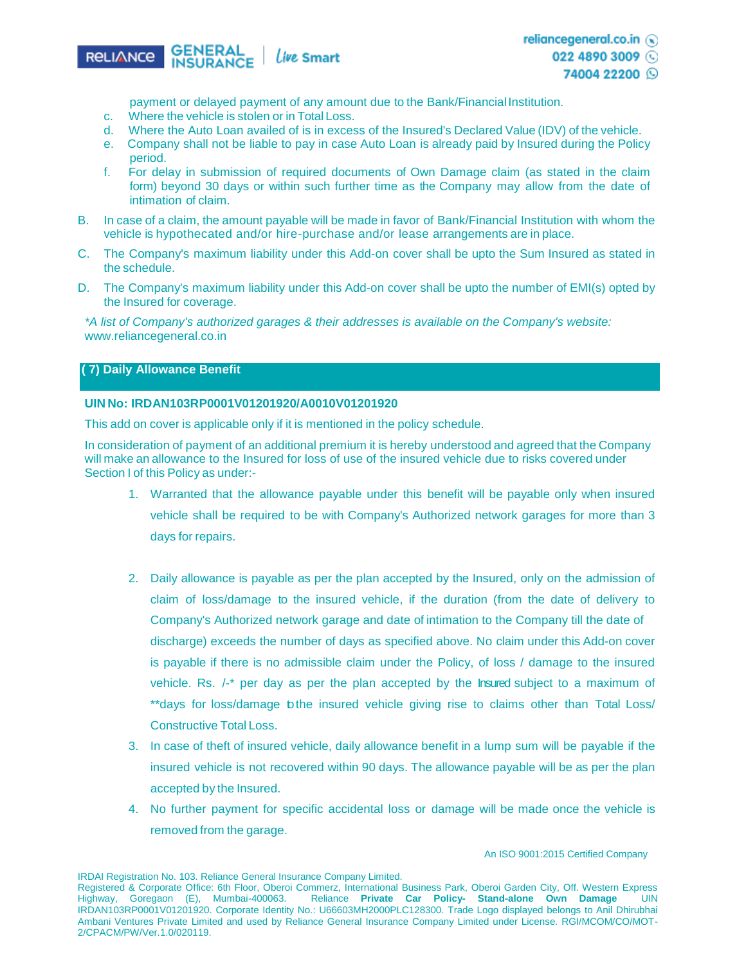

payment or delayed payment of any amount due to the Bank/Financial Institution.

- c. Where the vehicle is stolen or in Total Loss.
- d. Where the Auto Loan availed of is in excess of the Insured's Declared Value (IDV) of the vehicle.
- e. Company shall not be liable to pay in case Auto Loan is already paid by Insured during the Policy period.
- f. For delay in submission of required documents of Own Damage claim (as stated in the claim form) beyond 30 days or within such further time as the Company may allow from the date of intimation of claim.
- B. In case of a claim, the amount payable will be made in favor of Bank/Financial Institution with whom the vehicle is hypothecated and/or hire-purchase and/or lease arrangements are in place.
- C. The Company's maximum liability under this Add-on cover shall be upto the Sum Insured as stated in the schedule.
- D. The Company's maximum liability under this Add-on cover shall be upto the number of EMI(s) opted by the Insured for coverage.

*\*A list of Company's authorized garages & their addresses is available on the Company's website:*  [www.reliancegeneral.co.in](http://www.reliancegeneral.co.in/)

## **( 7) Daily Allowance Benefit**

### **UIN No: IRDAN103RP0001V01201920/A0010V01201920**

This add on cover is applicable only if it is mentioned in the policy schedule.

In consideration of payment of an additional premium it is hereby understood and agreed that the Company will make an allowance to the Insured for loss of use of the insured vehicle due to risks covered under Section I of this Policy as under:-

- 1. Warranted that the allowance payable under this benefit will be payable only when insured vehicle shall be required to be with Company's Authorized network garages for more than 3 days for repairs.
- 2. Daily allowance is payable as per the plan accepted by the Insured, only on the admission of claim of loss/damage to the insured vehicle, if the duration (from the date of delivery to Company's Authorized network garage and date of intimation to the Company till the date of discharge) exceeds the number of days as specified above. No claim under this Add-on cover is payable if there is no admissible claim under the Policy, of loss / damage to the insured vehicle. Rs. /-\* per day as per the plan accepted by the Insured subject to a maximum of \*\*days for loss/damage tothe insured vehicle giving rise to claims other than Total Loss/ Constructive Total Loss.
- 3. In case of theft of insured vehicle, daily allowance benefit in a lump sum will be payable if the insured vehicle is not recovered within 90 days. The allowance payable will be as per the plan accepted by the Insured.
- 4. No further payment for specific accidental loss or damage will be made once the vehicle is removed from the garage.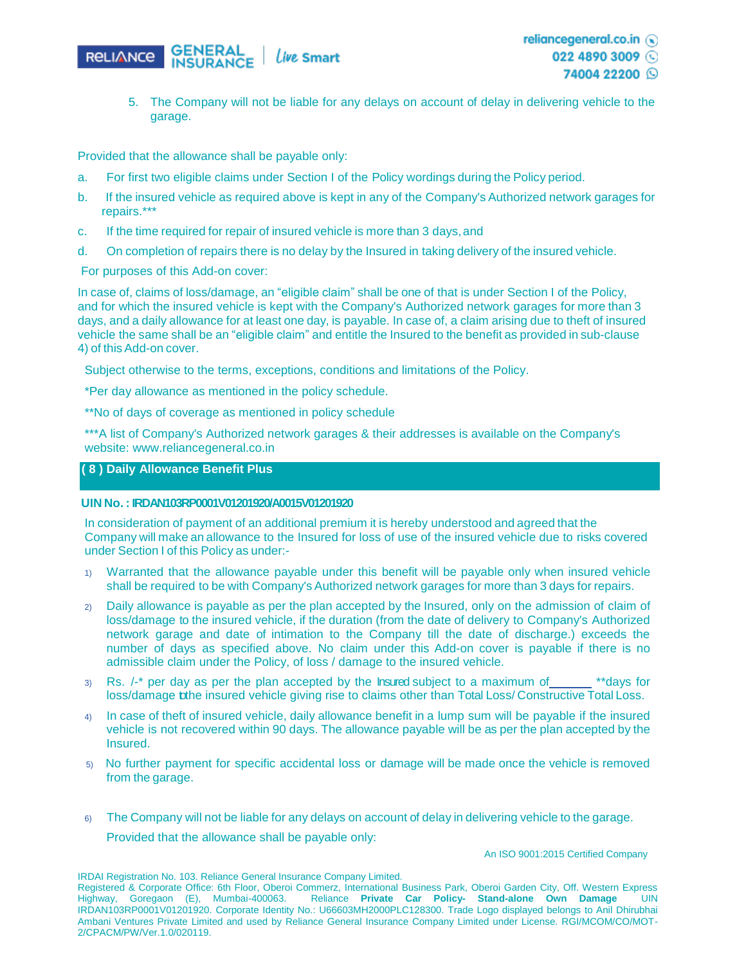

- 74004 22200 Q
- 5. The Company will not be liable for any delays on account of delay in delivering vehicle to the garage.

Provided that the allowance shall be payable only:

- a. For first two eligible claims under Section I of the Policy wordings during the Policy period.
- b. If the insured vehicle as required above is kept in any of the Company's Authorized network garages for repairs.\*\*\*
- c. If the time required for repair of insured vehicle is more than 3 days, and
- d. On completion of repairs there is no delay by the Insured in taking delivery of the insured vehicle.

For purposes of this Add-on cover:

In case of, claims of loss/damage, an "eligible claim" shall be one of that is under Section I of the Policy, and for which the insured vehicle is kept with the Company's Authorized network garages for more than 3 days, and a daily allowance for at least one day, is payable. In case of, a claim arising due to theft of insured vehicle the same shall be an "eligible claim" and entitle the Insured to the benefit as provided in sub-clause 4) of this Add-on cover.

Subject otherwise to the terms, exceptions, conditions and limitations of the Policy.

\*Per day allowance as mentioned in the policy schedule.

\*\*No of days of coverage as mentioned in policy schedule

\*\*\*A list of Company's Authorized network garages & their addresses is available on the Company's website: [www.reliancegeneral.co.in](http://www.reliancegeneral.co.in/)

## **( 8 ) Daily Allowance Benefit Plus**

#### **UIN No. : IRDAN103RP0001V01201920/A0015V01201920**

In consideration of payment of an additional premium it is hereby understood and agreed that the Company will make an allowance to the Insured for loss of use of the insured vehicle due to risks covered under Section I of this Policy as under:-

- 1) Warranted that the allowance payable under this benefit will be payable only when insured vehicle shall be required to be with Company's Authorized network garages for more than 3 days for repairs.
- 2) Daily allowance is payable as per the plan accepted by the Insured, only on the admission of claim of loss/damage to the insured vehicle, if the duration (from the date of delivery to Company's Authorized network garage and date of intimation to the Company till the date of discharge.) exceeds the number of days as specified above. No claim under this Add-on cover is payable if there is no admissible claim under the Policy, of loss / damage to the insured vehicle.
- $3)$  Rs.  $\ell$ <sup>\*</sup> per day as per the plan accepted by the Insured subject to a maximum of \*\*days for loss/damage tothe insured vehicle giving rise to claims other than Total Loss/ Constructive Total Loss.
- 4) In case of theft of insured vehicle, daily allowance benefit in a lump sum will be payable if the insured vehicle is not recovered within 90 days. The allowance payable will be as per the plan accepted by the Insured.
- 5) No further payment for specific accidental loss or damage will be made once the vehicle is removed from the garage.
- 6) The Company will not be liable for any delays on account of delay in delivering vehicle to the garage. Provided that the allowance shall be payable only:

An ISO 9001:2015 Certified Company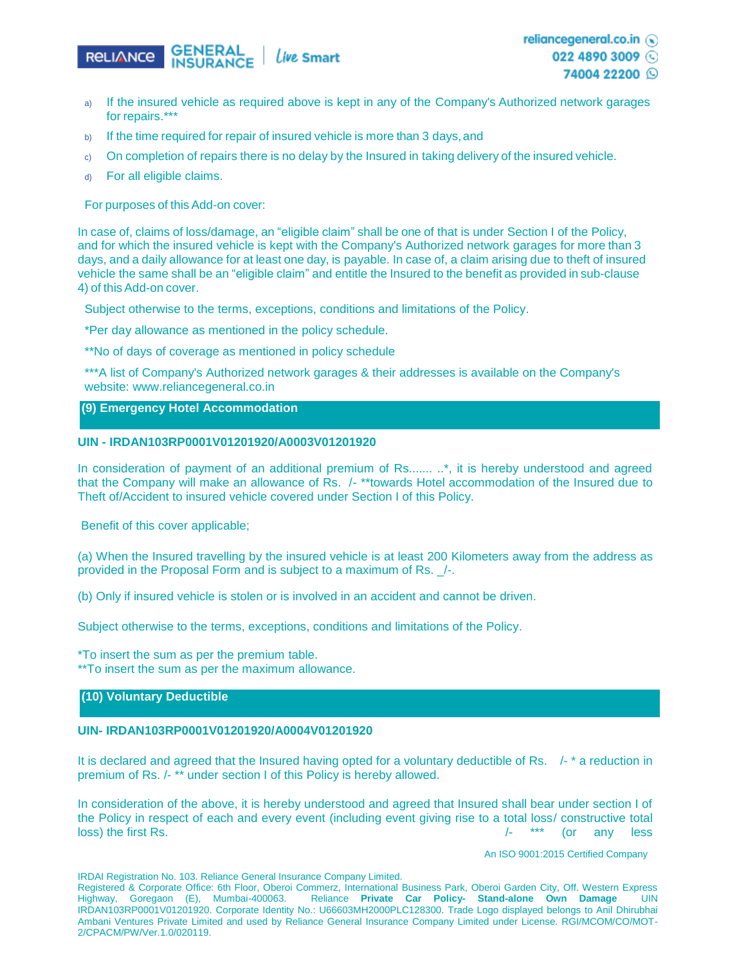

022 4890 3009 74004 22200 ☉

- a) If the insured vehicle as required above is kept in any of the Company's Authorized network garages for repairs.\*\*
- b) If the time required for repair of insured vehicle is more than 3 days, and
- c) On completion of repairs there is no delay by the Insured in taking delivery of the insured vehicle.
- d) For all eligible claims.

For purposes of this Add-on cover:

In case of, claims of loss/damage, an "eligible claim" shall be one of that is under Section I of the Policy, and for which the insured vehicle is kept with the Company's Authorized network garages for more than 3 days, and a daily allowance for at least one day, is payable. In case of, a claim arising due to theft of insured vehicle the same shall be an "eligible claim" and entitle the Insured to the benefit as provided in sub-clause 4) of this Add-on cover.

Subject otherwise to the terms, exceptions, conditions and limitations of the Policy.

\*Per day allowance as mentioned in the policy schedule.

\*\*No of days of coverage as mentioned in policy schedule

\*\*\*A list of Company's Authorized network garages & their addresses is available on the Company's website: [www.reliancegeneral.co.in](http://www.reliancegeneral.co.in/)

#### **(9) Emergency Hotel Accommodation**

## **UIN - IRDAN103RP0001V01201920/A0003V01201920**

In consideration of payment of an additional premium of Rs..........\*, it is hereby understood and agreed that the Company will make an allowance of Rs. /- \*\*towards Hotel accommodation of the Insured due to Theft of/Accident to insured vehicle covered under Section I of this Policy.

Benefit of this cover applicable;

(a) When the Insured travelling by the insured vehicle is at least 200 Kilometers away from the address as provided in the Proposal Form and is subject to a maximum of Rs. \_/-.

(b) Only if insured vehicle is stolen or is involved in an accident and cannot be driven.

Subject otherwise to the terms, exceptions, conditions and limitations of the Policy.

\*To insert the sum as per the premium table.

\*\*To insert the sum as per the maximum allowance.

## **(10) Voluntary Deductible**

#### **UIN- IRDAN103RP0001V01201920/A0004V01201920**

It is declared and agreed that the Insured having opted for a voluntary deductible of Rs. /- \* a reduction in premium of Rs. /- \*\* under section I of this Policy is hereby allowed.

In consideration of the above, it is hereby understood and agreed that Insured shall bear under section I of the Policy in respect of each and every event (including event giving rise to a total loss/ constructive total loss) the first Rs. /- \*\*\* (or any less

An ISO 9001:2015 Certified Company

IRDAI Registration No. 103. Reliance General Insurance Company Limited.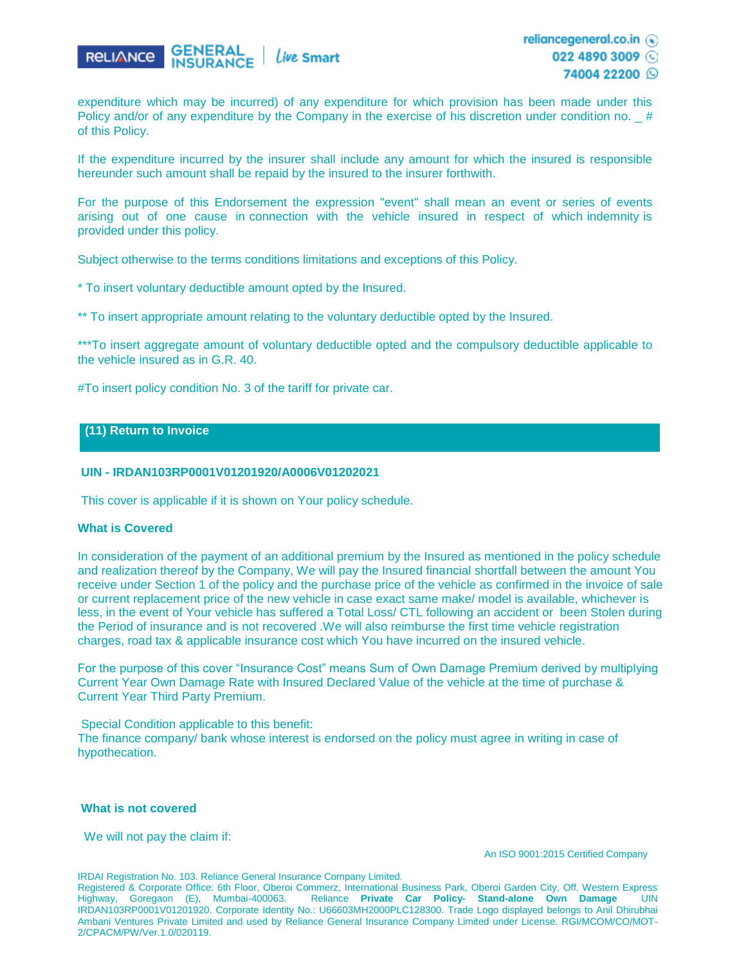

expenditure which may be incurred) of any expenditure for which provision has been made under this Policy and/or of any expenditure by the Company in the exercise of his discretion under condition no.  $#$ of this Policy.

If the expenditure incurred by the insurer shall include any amount for which the insured is responsible hereunder such amount shall be repaid by the insured to the insurer forthwith.

For the purpose of this Endorsement the expression "event" shall mean an event or series of events arising out of one cause in connection with the vehicle insured in respect of which indemnity is provided under this policy.

Subject otherwise to the terms conditions limitations and exceptions of this Policy.

\* To insert voluntary deductible amount opted by the Insured.

\*\* To insert appropriate amount relating to the voluntary deductible opted by the Insured.

\*\*\*To insert aggregate amount of voluntary deductible opted and the compulsory deductible applicable to the vehicle insured as in G.R. 40.

#To insert policy condition No. 3 of the tariff for private car.

## **(11) Return to Invoice**

#### **UIN - IRDAN103RP0001V01201920/A0006V01202021**

This cover is applicable if it is shown on Your policy schedule.

#### **What is Covered**

In consideration of the payment of an additional premium by the Insured as mentioned in the policy schedule and realization thereof by the Company, We will pay the Insured financial shortfall between the amount You receive under Section 1 of the policy and the purchase price of the vehicle as confirmed in the invoice of sale or current replacement price of the new vehicle in case exact same make/ model is available, whichever is less, in the event of Your vehicle has suffered a Total Loss/ CTL following an accident or been Stolen during the Period of insurance and is not recovered .We will also reimburse the first time vehicle registration charges, road tax & applicable insurance cost which You have incurred on the insured vehicle.

For the purpose of this cover "Insurance Cost" means Sum of Own Damage Premium derived by multiplying Current Year Own Damage Rate with Insured Declared Value of the vehicle at the time of purchase & Current Year Third Party Premium.

Special Condition applicable to this benefit:

The finance company/ bank whose interest is endorsed on the policy must agree in writing in case of hypothecation.

#### **What is not covered**

We will not pay the claim if:

An ISO 9001:2015 Certified Company

IRDAI Registration No. 103. Reliance General Insurance Company Limited.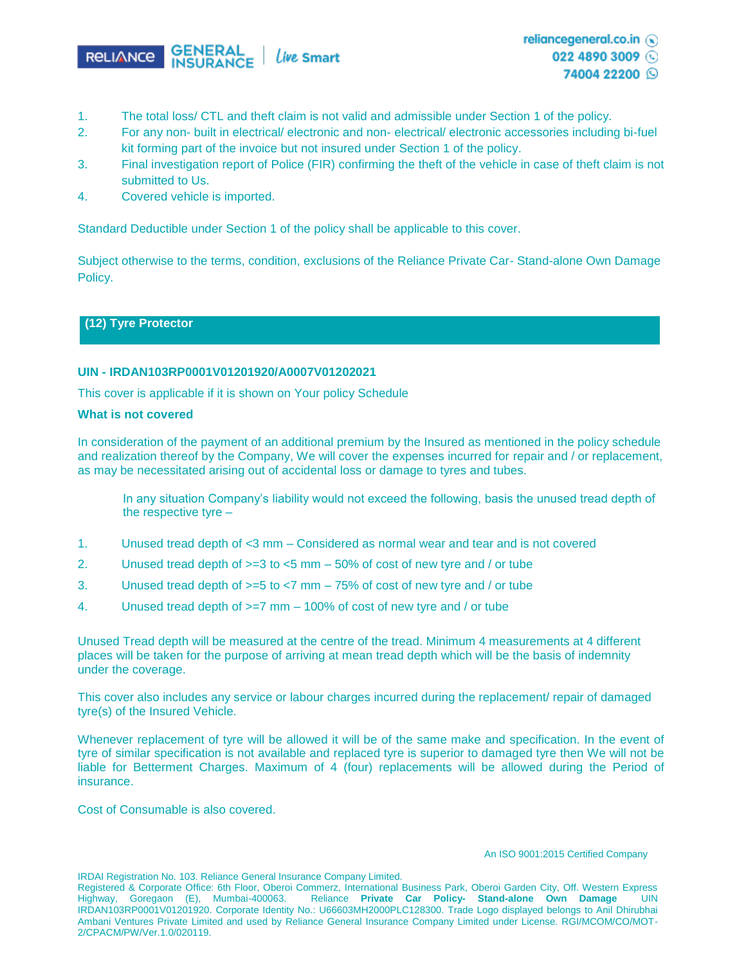

- 1. The total loss/ CTL and theft claim is not valid and admissible under Section 1 of the policy.
- 2. For any non- built in electrical/ electronic and non- electrical/ electronic accessories including bi-fuel kit forming part of the invoice but not insured under Section 1 of the policy.
- 3. Final investigation report of Police (FIR) confirming the theft of the vehicle in case of theft claim is not submitted to Us.
- 4. Covered vehicle is imported.

Standard Deductible under Section 1 of the policy shall be applicable to this cover.

Subject otherwise to the terms, condition, exclusions of the Reliance Private Car- Stand-alone Own Damage Policy.

## **(12) Tyre Protector**

### **UIN - IRDAN103RP0001V01201920/A0007V01202021**

This cover is applicable if it is shown on Your policy Schedule

#### **What is not covered**

In consideration of the payment of an additional premium by the Insured as mentioned in the policy schedule and realization thereof by the Company, We will cover the expenses incurred for repair and / or replacement, as may be necessitated arising out of accidental loss or damage to tyres and tubes.

In any situation Company's liability would not exceed the following, basis the unused tread depth of the respective tyre –

- 1. Unused tread depth of <3 mm Considered as normal wear and tear and is not covered
- 2. Unused tread depth of  $>=3$  to  $<5$  mm  $-50\%$  of cost of new tyre and / or tube
- 3. Unused tread depth of >=5 to <7 mm 75% of cost of new tyre and / or tube
- 4. Unused tread depth of >=7 mm 100% of cost of new tyre and / or tube

Unused Tread depth will be measured at the centre of the tread. Minimum 4 measurements at 4 different places will be taken for the purpose of arriving at mean tread depth which will be the basis of indemnity under the coverage.

This cover also includes any service or labour charges incurred during the replacement/ repair of damaged tyre(s) of the Insured Vehicle.

Whenever replacement of tyre will be allowed it will be of the same make and specification. In the event of tyre of similar specification is not available and replaced tyre is superior to damaged tyre then We will not be liable for Betterment Charges. Maximum of 4 (four) replacements will be allowed during the Period of insurance.

Cost of Consumable is also covered.

#### An ISO 9001:2015 Certified Company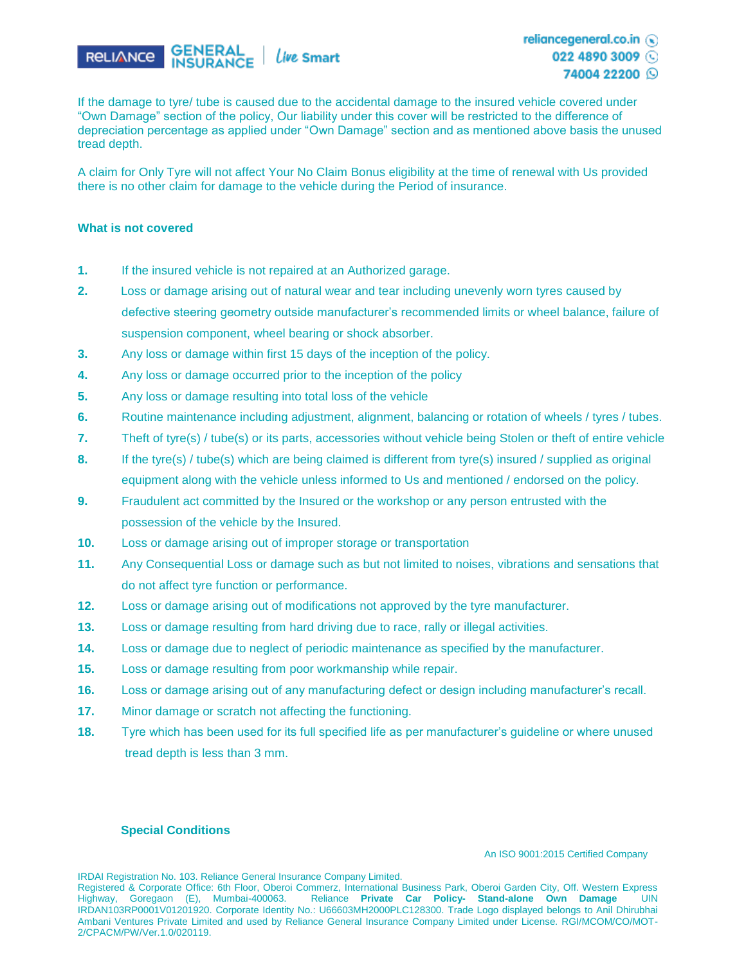

022 4890 3009



If the damage to tyre/ tube is caused due to the accidental damage to the insured vehicle covered under "Own Damage" section of the policy, Our liability under this cover will be restricted to the difference of depreciation percentage as applied under "Own Damage" section and as mentioned above basis the unused tread depth.

A claim for Only Tyre will not affect Your No Claim Bonus eligibility at the time of renewal with Us provided there is no other claim for damage to the vehicle during the Period of insurance.

#### **What is not covered**

- **1.** If the insured vehicle is not repaired at an Authorized garage.
- **2.** Loss or damage arising out of natural wear and tear including unevenly worn tyres caused by defective steering geometry outside manufacturer's recommended limits or wheel balance, failure of suspension component, wheel bearing or shock absorber.
- **3.** Any loss or damage within first 15 days of the inception of the policy.
- **4.** Any loss or damage occurred prior to the inception of the policy
- **5.** Any loss or damage resulting into total loss of the vehicle
- **6.** Routine maintenance including adjustment, alignment, balancing or rotation of wheels / tyres / tubes.
- **7.** Theft of tyre(s) / tube(s) or its parts, accessories without vehicle being Stolen or theft of entire vehicle
- **8.** If the tyre(s) / tube(s) which are being claimed is different from tyre(s) insured / supplied as original equipment along with the vehicle unless informed to Us and mentioned / endorsed on the policy.
- **9.** Fraudulent act committed by the Insured or the workshop or any person entrusted with the possession of the vehicle by the Insured.
- **10.** Loss or damage arising out of improper storage or transportation
- **11.** Any Consequential Loss or damage such as but not limited to noises, vibrations and sensations that do not affect tyre function or performance.
- **12.** Loss or damage arising out of modifications not approved by the tyre manufacturer.
- **13.** Loss or damage resulting from hard driving due to race, rally or illegal activities.
- **14.** Loss or damage due to neglect of periodic maintenance as specified by the manufacturer.
- **15.** Loss or damage resulting from poor workmanship while repair.
- **16.** Loss or damage arising out of any manufacturing defect or design including manufacturer's recall.
- **17.** Minor damage or scratch not affecting the functioning.
- **18.** Tyre which has been used for its full specified life as per manufacturer's guideline or where unused tread depth is less than 3 mm.

### **Special Conditions**

An ISO 9001:2015 Certified Company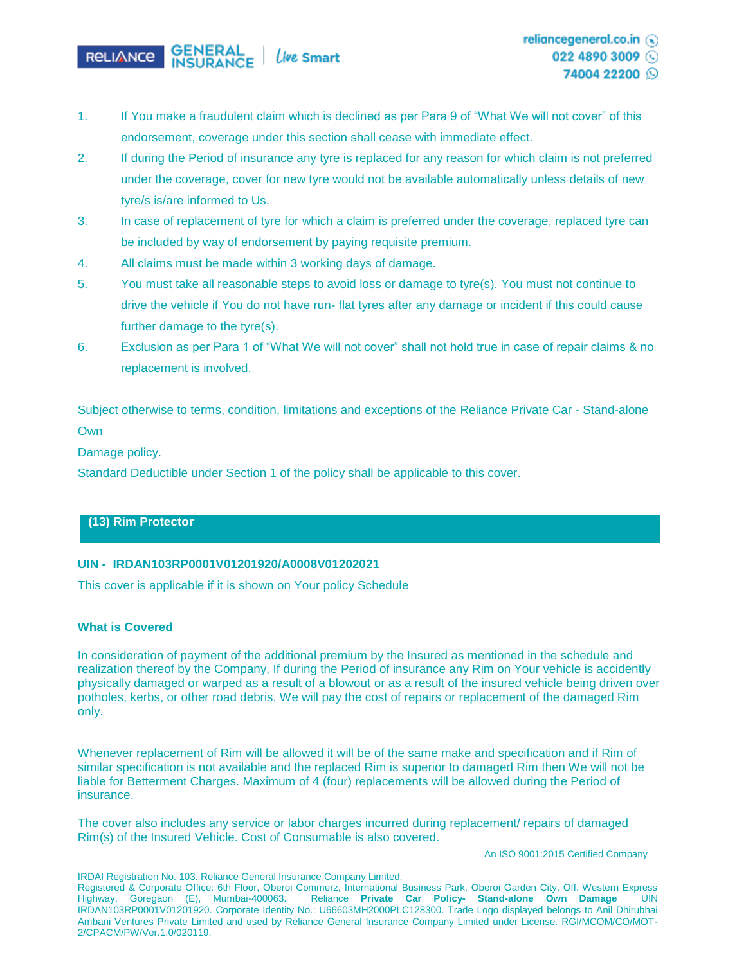

- 1. If You make a fraudulent claim which is declined as per Para 9 of "What We will not cover" of this endorsement, coverage under this section shall cease with immediate effect.
- 2. If during the Period of insurance any tyre is replaced for any reason for which claim is not preferred under the coverage, cover for new tyre would not be available automatically unless details of new tyre/s is/are informed to Us.
- 3. In case of replacement of tyre for which a claim is preferred under the coverage, replaced tyre can be included by way of endorsement by paying requisite premium.
- 4. All claims must be made within 3 working days of damage.
- 5. You must take all reasonable steps to avoid loss or damage to tyre(s). You must not continue to drive the vehicle if You do not have run- flat tyres after any damage or incident if this could cause further damage to the tyre(s).
- 6. Exclusion as per Para 1 of "What We will not cover" shall not hold true in case of repair claims & no replacement is involved.

Subject otherwise to terms, condition, limitations and exceptions of the Reliance Private Car - Stand-alone **Own** 

Damage policy.

Standard Deductible under Section 1 of the policy shall be applicable to this cover.

## **(13) Rim Protector**

## **UIN - IRDAN103RP0001V01201920/A0008V01202021**

This cover is applicable if it is shown on Your policy Schedule

#### **What is Covered**

In consideration of payment of the additional premium by the Insured as mentioned in the schedule and realization thereof by the Company, If during the Period of insurance any Rim on Your vehicle is accidently physically damaged or warped as a result of a blowout or as a result of the insured vehicle being driven over potholes, kerbs, or other road debris, We will pay the cost of repairs or replacement of the damaged Rim only.

Whenever replacement of Rim will be allowed it will be of the same make and specification and if Rim of similar specification is not available and the replaced Rim is superior to damaged Rim then We will not be liable for Betterment Charges. Maximum of 4 (four) replacements will be allowed during the Period of insurance.

The cover also includes any service or labor charges incurred during replacement/ repairs of damaged Rim(s) of the Insured Vehicle. Cost of Consumable is also covered.

An ISO 9001:2015 Certified Company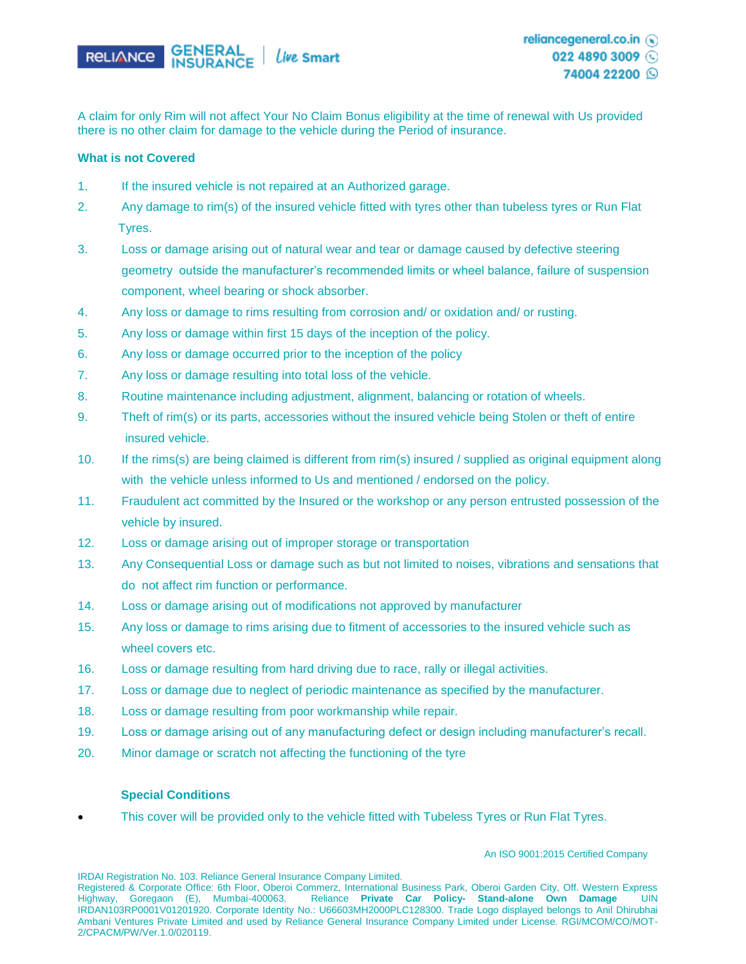

A claim for only Rim will not affect Your No Claim Bonus eligibility at the time of renewal with Us provided there is no other claim for damage to the vehicle during the Period of insurance.

### **What is not Covered**

- 1. If the insured vehicle is not repaired at an Authorized garage.
- 2. Any damage to rim(s) of the insured vehicle fitted with tyres other than tubeless tyres or Run Flat Tyres.
- 3. Loss or damage arising out of natural wear and tear or damage caused by defective steering geometry outside the manufacturer's recommended limits or wheel balance, failure of suspension component, wheel bearing or shock absorber.
- 4. Any loss or damage to rims resulting from corrosion and/ or oxidation and/ or rusting.
- 5. Any loss or damage within first 15 days of the inception of the policy.
- 6. Any loss or damage occurred prior to the inception of the policy
- 7. Any loss or damage resulting into total loss of the vehicle.
- 8. Routine maintenance including adjustment, alignment, balancing or rotation of wheels.
- 9. Theft of rim(s) or its parts, accessories without the insured vehicle being Stolen or theft of entire insured vehicle.
- 10. If the rims(s) are being claimed is different from rim(s) insured / supplied as original equipment along with the vehicle unless informed to Us and mentioned / endorsed on the policy.
- 11. Fraudulent act committed by the Insured or the workshop or any person entrusted possession of the vehicle by insured.
- 12. Loss or damage arising out of improper storage or transportation
- 13. Any Consequential Loss or damage such as but not limited to noises, vibrations and sensations that do not affect rim function or performance.
- 14. Loss or damage arising out of modifications not approved by manufacturer
- 15. Any loss or damage to rims arising due to fitment of accessories to the insured vehicle such as wheel covers etc.
- 16. Loss or damage resulting from hard driving due to race, rally or illegal activities.
- 17. Loss or damage due to neglect of periodic maintenance as specified by the manufacturer.
- 18. Loss or damage resulting from poor workmanship while repair.
- 19. Loss or damage arising out of any manufacturing defect or design including manufacturer's recall.
- 20. Minor damage or scratch not affecting the functioning of the tyre

#### **Special Conditions**

• This cover will be provided only to the vehicle fitted with Tubeless Tyres or Run Flat Tyres.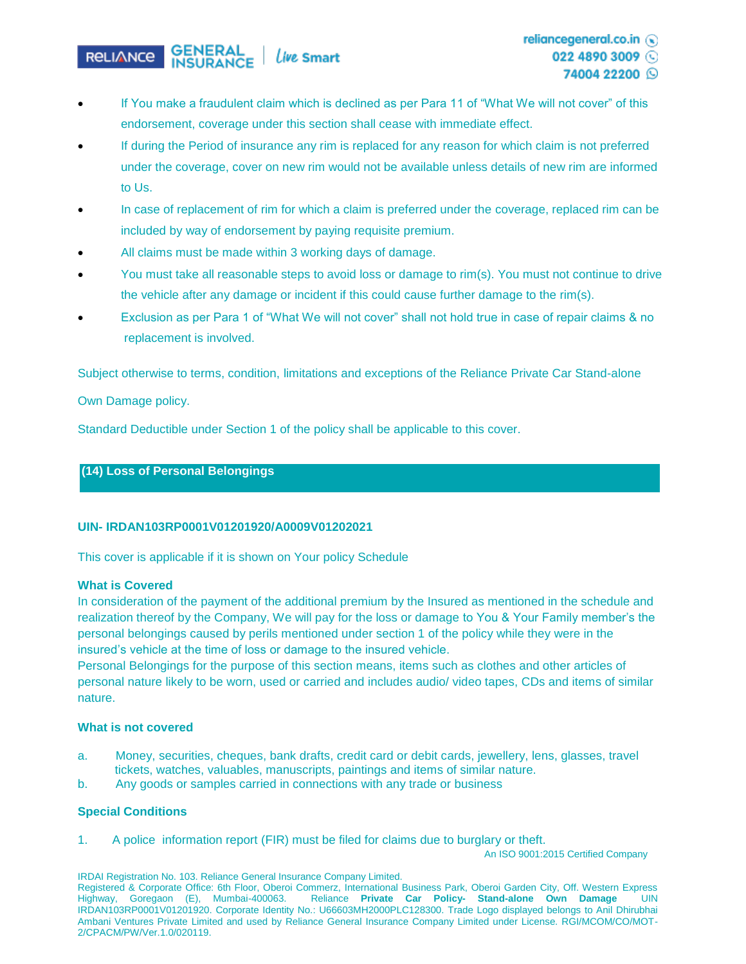#### **GENERAL**<br>**INSURANCE** Live Smart **RELIANCE**

- If You make a fraudulent claim which is declined as per Para 11 of "What We will not cover" of this endorsement, coverage under this section shall cease with immediate effect.
- If during the Period of insurance any rim is replaced for any reason for which claim is not preferred under the coverage, cover on new rim would not be available unless details of new rim are informed to Us.
- In case of replacement of rim for which a claim is preferred under the coverage, replaced rim can be included by way of endorsement by paying requisite premium.
- All claims must be made within 3 working days of damage.
- You must take all reasonable steps to avoid loss or damage to rim(s). You must not continue to drive the vehicle after any damage or incident if this could cause further damage to the rim(s).
- Exclusion as per Para 1 of "What We will not cover" shall not hold true in case of repair claims & no replacement is involved.

Subject otherwise to terms, condition, limitations and exceptions of the Reliance Private Car Stand-alone

Own Damage policy.

Standard Deductible under Section 1 of the policy shall be applicable to this cover.

## **(14) Loss of Personal Belongings**

## **UIN- IRDAN103RP0001V01201920/A0009V01202021**

This cover is applicable if it is shown on Your policy Schedule

#### **What is Covered**

In consideration of the payment of the additional premium by the Insured as mentioned in the schedule and realization thereof by the Company, We will pay for the loss or damage to You & Your Family member's the personal belongings caused by perils mentioned under section 1 of the policy while they were in the insured's vehicle at the time of loss or damage to the insured vehicle.

Personal Belongings for the purpose of this section means, items such as clothes and other articles of personal nature likely to be worn, used or carried and includes audio/ video tapes, CDs and items of similar nature.

#### **What is not covered**

- a. Money, securities, cheques, bank drafts, credit card or debit cards, jewellery, lens, glasses, travel tickets, watches, valuables, manuscripts, paintings and items of similar nature.
- b. Any goods or samples carried in connections with any trade or business

## **Special Conditions**

1. A police information report (FIR) must be filed for claims due to burglary or theft.

An ISO 9001:2015 Certified Company

IRDAI Registration No. 103. Reliance General Insurance Company Limited.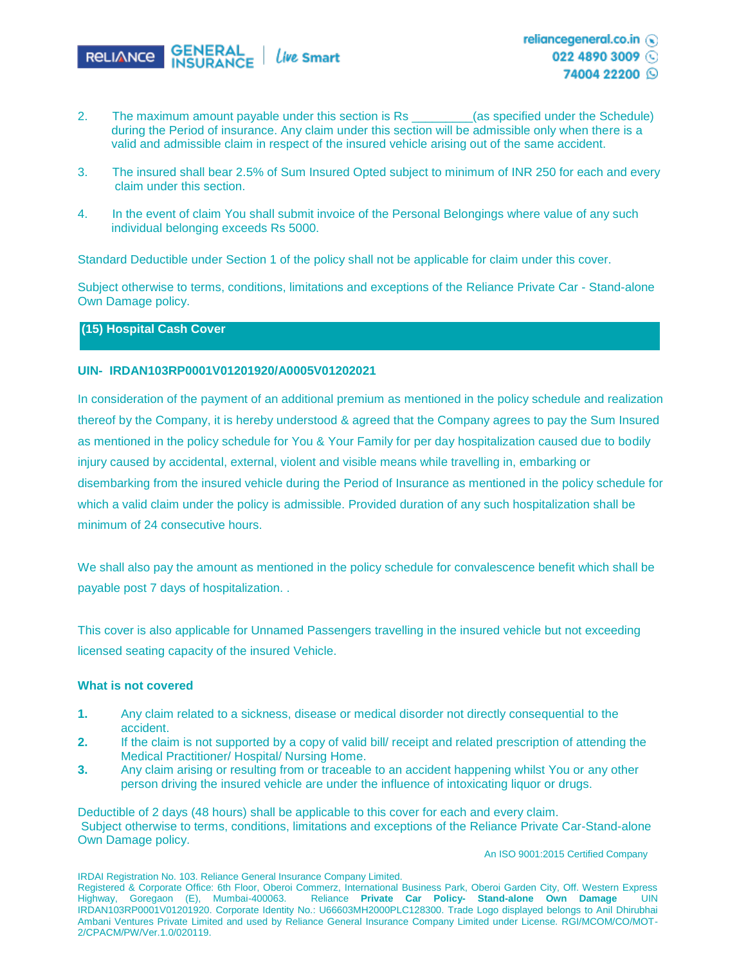

- 2. The maximum amount payable under this section is Rs \_\_\_\_\_\_\_\_(as specified under the Schedule) during the Period of insurance. Any claim under this section will be admissible only when there is a valid and admissible claim in respect of the insured vehicle arising out of the same accident.
- 3. The insured shall bear 2.5% of Sum Insured Opted subject to minimum of INR 250 for each and every claim under this section.
- 4. In the event of claim You shall submit invoice of the Personal Belongings where value of any such individual belonging exceeds Rs 5000.

Standard Deductible under Section 1 of the policy shall not be applicable for claim under this cover.

Subject otherwise to terms, conditions, limitations and exceptions of the Reliance Private Car - Stand-alone Own Damage policy.

## **(15) Hospital Cash Cover**

## **UIN- IRDAN103RP0001V01201920/A0005V01202021**

In consideration of the payment of an additional premium as mentioned in the policy schedule and realization thereof by the Company, it is hereby understood & agreed that the Company agrees to pay the Sum Insured as mentioned in the policy schedule for You & Your Family for per day hospitalization caused due to bodily injury caused by accidental, external, violent and visible means while travelling in, embarking or disembarking from the insured vehicle during the Period of Insurance as mentioned in the policy schedule for which a valid claim under the policy is admissible. Provided duration of any such hospitalization shall be minimum of 24 consecutive hours.

We shall also pay the amount as mentioned in the policy schedule for convalescence benefit which shall be payable post 7 days of hospitalization. .

This cover is also applicable for Unnamed Passengers travelling in the insured vehicle but not exceeding licensed seating capacity of the insured Vehicle.

#### **What is not covered**

- **1.** Any claim related to a sickness, disease or medical disorder not directly consequential to the accident.
- **2.** If the claim is not supported by a copy of valid bill/ receipt and related prescription of attending the Medical Practitioner/ Hospital/ Nursing Home.
- **3.** Any claim arising or resulting from or traceable to an accident happening whilst You or any other person driving the insured vehicle are under the influence of intoxicating liquor or drugs.

Deductible of 2 days (48 hours) shall be applicable to this cover for each and every claim. Subject otherwise to terms, conditions, limitations and exceptions of the Reliance Private Car-Stand-alone Own Damage policy.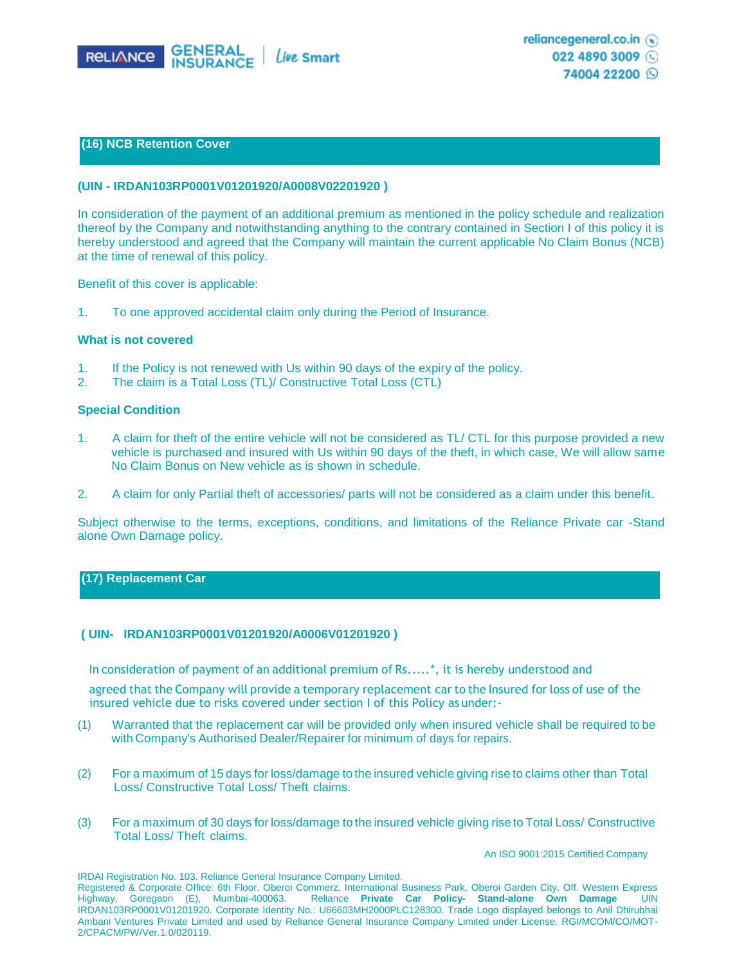

#### **(16) NCB Retention Cover**

#### **(UIN - IRDAN103RP0001V01201920/A0008V02201920 )**

In consideration of the payment of an additional premium as mentioned in the policy schedule and realization thereof by the Company and notwithstanding anything to the contrary contained in Section I of this policy it is hereby understood and agreed that the Company will maintain the current applicable No Claim Bonus (NCB) at the time of renewal of this policy.

Benefit of this cover is applicable:

1. To one approved accidental claim only during the Period of Insurance.

### **What is not covered**

- 1. If the Policy is not renewed with Us within 90 days of the expiry of the policy.
- 2. The claim is a Total Loss (TL)/ Constructive Total Loss (CTL)

#### **Special Condition**

- 1. A claim for theft of the entire vehicle will not be considered as TL/ CTL for this purpose provided a new vehicle is purchased and insured with Us within 90 days of the theft, in which case, We will allow same No Claim Bonus on New vehicle as is shown in schedule.
- 2. A claim for only Partial theft of accessories/ parts will not be considered as a claim under this benefit.

Subject otherwise to the terms, exceptions, conditions, and limitations of the Reliance Private car -Stand alone Own Damage policy.

#### **(17) Replacement Car**

#### **( UIN- IRDAN103RP0001V01201920/A0006V01201920 )**

In consideration of payment of an additional premium of Rs.....\*, it is hereby understood and

agreed that the Company will provide a temporary replacement car to the Insured for loss of use of the insured vehicle due to risks covered under section I of this Policy as under:-

- (1) Warranted that the replacement car will be provided only when insured vehicle shall be required to be with Company's Authorised Dealer/Repairer for minimum of days for repairs.
- (2) For a maximum of 15 days for loss/damage to the insured vehicle giving rise to claims other than Total Loss/ Constructive Total Loss/ Theft claims.
- (3) For a maximum of 30 days for loss/damage to the insured vehicle giving rise to Total Loss/ Constructive Total Loss/ Theft claims.

An ISO 9001:2015 Certified Company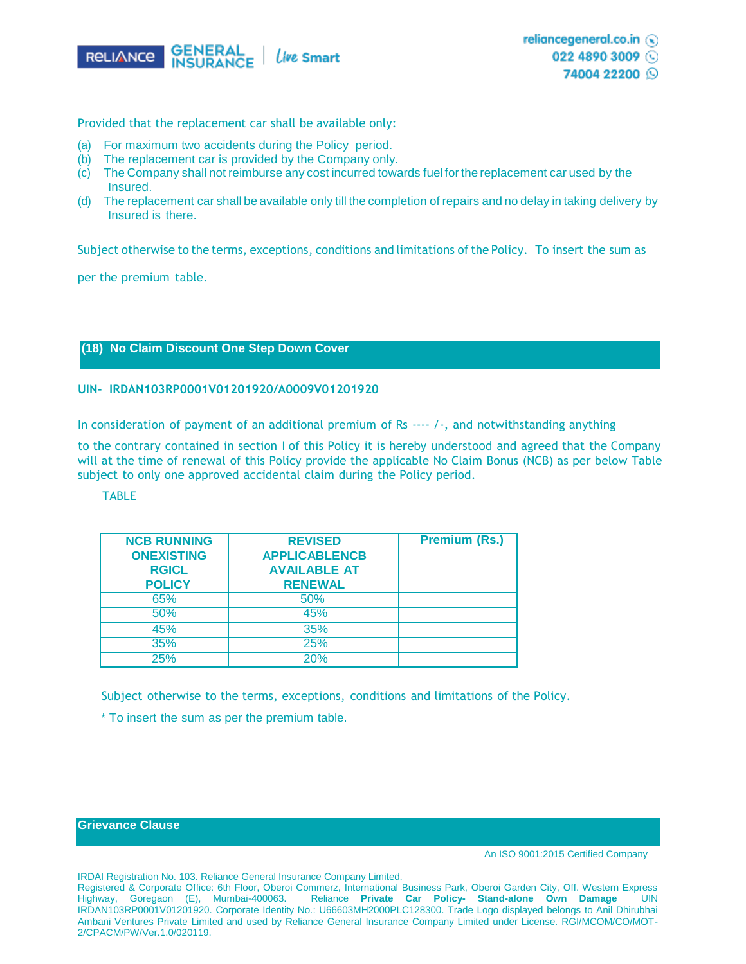

Provided that the replacement car shall be available only:

- (a) For maximum two accidents during the Policy period.
- (b) The replacement car is provided by the Company only.
- (c) The Company shall not reimburse any cost incurred towards fuel for the replacement car used by the Insured.
- (d) The replacement car shall be available only till the completion of repairs and no delay in taking delivery by Insured is there.

Subject otherwise to the terms, exceptions, conditions and limitations ofthe Policy. To insert the sum as

per the premium table.

## **(18) No Claim Discount One Step Down Cover**

#### **UIN- IRDAN103RP0001V01201920/A0009V01201920**

In consideration of payment of an additional premium of Rs ---- /-, and notwithstanding anything

to the contrary contained in section I of this Policy it is hereby understood and agreed that the Company will at the time of renewal of this Policy provide the applicable No Claim Bonus (NCB) as per below Table subject to only one approved accidental claim during the Policy period.

## **TABLE**

| <b>NCB RUNNING</b><br><b>ONEXISTING</b><br><b>RGICL</b><br><b>POLICY</b> | <b>REVISED</b><br><b>APPLICABLENCB</b><br><b>AVAILABLE AT</b><br><b>RENEWAL</b> | <b>Premium (Rs.)</b> |
|--------------------------------------------------------------------------|---------------------------------------------------------------------------------|----------------------|
| 65%                                                                      | 50%                                                                             |                      |
| 50%                                                                      | 45%                                                                             |                      |
| 45%                                                                      | 35%                                                                             |                      |
| 35%                                                                      | 25%                                                                             |                      |
| 25%                                                                      | 20%                                                                             |                      |

Subject otherwise to the terms, exceptions, conditions and limitations of the Policy.

\* To insert the sum as per the premium table.

### **Grievance Clause**

An ISO 9001:2015 Certified Company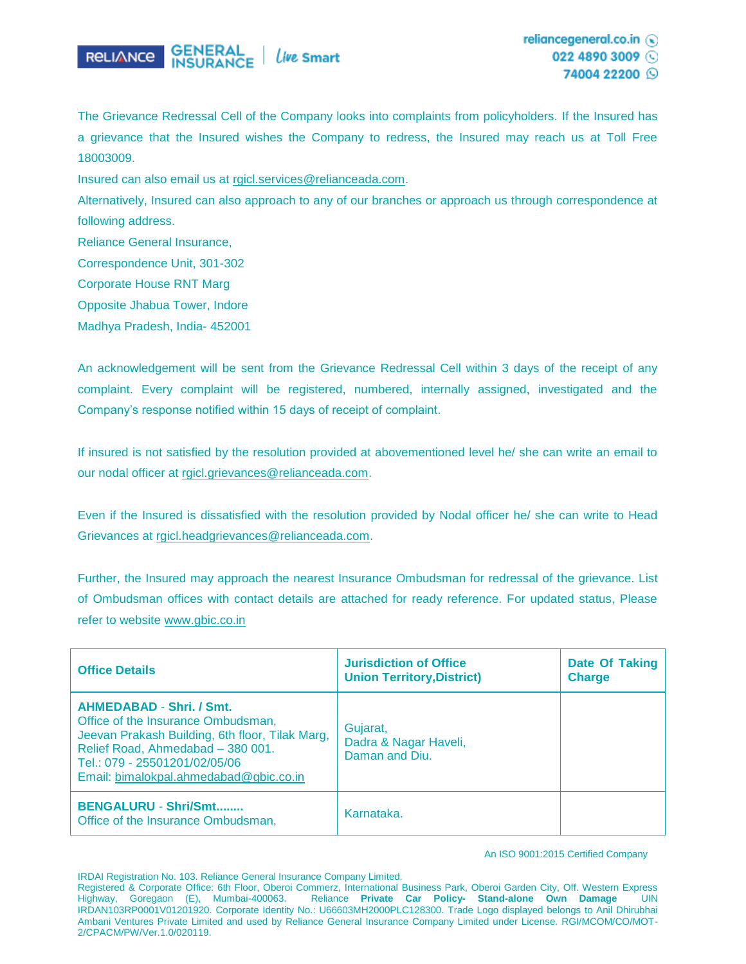

The Grievance Redressal Cell of the Company looks into complaints from policyholders. If the Insured has a grievance that the Insured wishes the Company to redress, the Insured may reach us at Toll Free 18003009.

Insured can also email us at [rgicl.services@relianceada.com.](mailto:rgicl.services@relianceada.com)

Alternatively, Insured can also approach to any of our branches or approach us through correspondence at following address.

Reliance General Insurance,

Correspondence Unit, 301-302

Corporate House RNT Marg

Opposite Jhabua Tower, Indore

Madhya Pradesh, India- 452001

An acknowledgement will be sent from the Grievance Redressal Cell within 3 days of the receipt of any complaint. Every complaint will be registered, numbered, internally assigned, investigated and the Company's response notified within 15 days of receipt of complaint.

If insured is not satisfied by the resolution provided at abovementioned level he/ she can write an email to our nodal officer at [rgicl.grievances@relianceada.com.](mailto:rgicl.grievances@relianceada.com)

Even if the Insured is dissatisfied with the resolution provided by Nodal officer he/ she can write to Head Grievances at [rgicl.headgrievances@relianceada.com.](mailto:rgicl.headgrievances@relianceada.com)

Further, the Insured may approach the nearest Insurance Ombudsman for redressal of the grievance. List of Ombudsman offices with contact details are attached for ready reference. For updated status, Please refer to website [www.gbic.co.in](http://www.gbic.co.in/)

| <b>Office Details</b>                                                                                                                                                                                                                    | <b>Jurisdiction of Office</b><br><b>Union Territory, District)</b> | Date Of Taking<br><b>Charge</b> |
|------------------------------------------------------------------------------------------------------------------------------------------------------------------------------------------------------------------------------------------|--------------------------------------------------------------------|---------------------------------|
| <b>AHMEDABAD - Shri. / Smt.</b><br>Office of the Insurance Ombudsman,<br>Jeevan Prakash Building, 6th floor, Tilak Marg,<br>Relief Road, Ahmedabad - 380 001.<br>Tel.: 079 - 25501201/02/05/06<br>Email: bimalokpal.ahmedabad@gbic.co.in | Gujarat,<br>Dadra & Nagar Haveli,<br>Daman and Diu.                |                                 |
| <b>BENGALURU - Shri/Smt</b><br>Office of the Insurance Ombudsman,                                                                                                                                                                        | Karnataka.                                                         |                                 |

An ISO 9001:2015 Certified Company

IRDAI Registration No. 103. Reliance General Insurance Company Limited.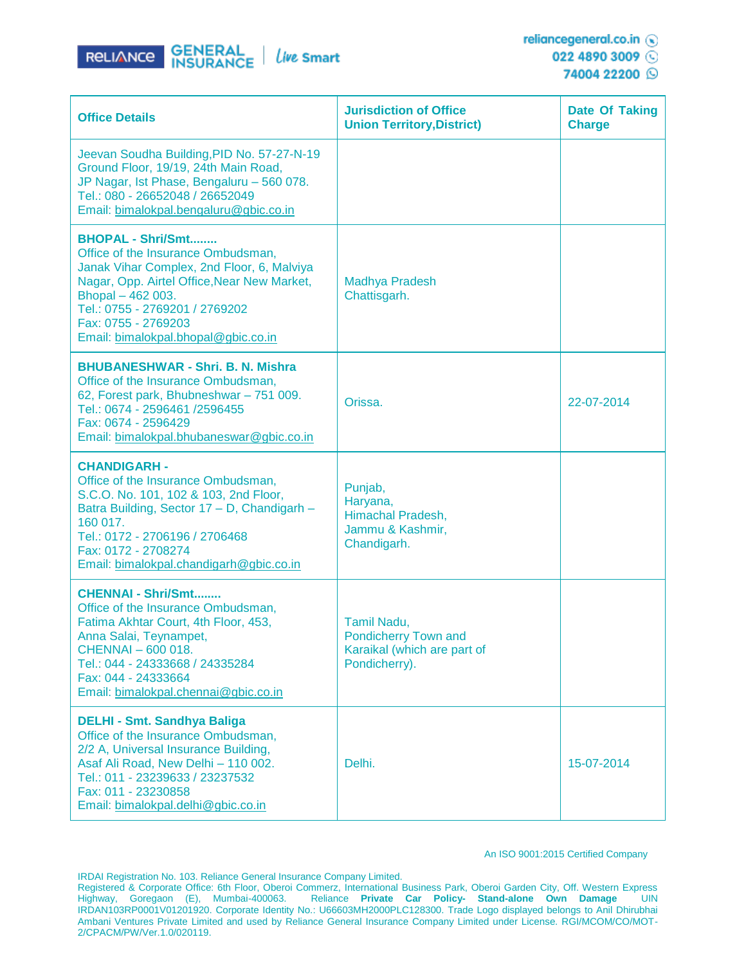

| <b>Office Details</b>                                                                                                                                                                                                                                                            | <b>Jurisdiction of Office</b><br><b>Union Territory, District)</b>                  | <b>Date Of Taking</b><br><b>Charge</b> |
|----------------------------------------------------------------------------------------------------------------------------------------------------------------------------------------------------------------------------------------------------------------------------------|-------------------------------------------------------------------------------------|----------------------------------------|
| Jeevan Soudha Building, PID No. 57-27-N-19<br>Ground Floor, 19/19, 24th Main Road,<br>JP Nagar, Ist Phase, Bengaluru - 560 078.<br>Tel.: 080 - 26652048 / 26652049<br>Email: bimalokpal.bengaluru@gbic.co.in                                                                     |                                                                                     |                                        |
| <b>BHOPAL - Shri/Smt</b><br>Office of the Insurance Ombudsman,<br>Janak Vihar Complex, 2nd Floor, 6, Malviya<br>Nagar, Opp. Airtel Office, Near New Market,<br>Bhopal - 462 003.<br>Tel.: 0755 - 2769201 / 2769202<br>Fax: 0755 - 2769203<br>Email: bimalokpal.bhopal@gbic.co.in | <b>Madhya Pradesh</b><br>Chattisgarh.                                               |                                        |
| <b>BHUBANESHWAR - Shri, B. N. Mishra</b><br>Office of the Insurance Ombudsman,<br>62, Forest park, Bhubneshwar - 751 009.<br>Tel.: 0674 - 2596461 /2596455<br>Fax: 0674 - 2596429<br>Email: bimalokpal.bhubaneswar@gbic.co.in                                                    | Orissa.                                                                             | 22-07-2014                             |
| <b>CHANDIGARH -</b><br>Office of the Insurance Ombudsman,<br>S.C.O. No. 101, 102 & 103, 2nd Floor,<br>Batra Building, Sector 17 - D, Chandigarh -<br>160 017.<br>Tel.: 0172 - 2706196 / 2706468<br>Fax: 0172 - 2708274<br>Email: bimalokpal.chandigarh@gbic.co.in                | Punjab,<br>Haryana,<br>Himachal Pradesh,<br>Jammu & Kashmir,<br>Chandigarh.         |                                        |
| <b>CHENNAI - Shri/Smt</b><br>Office of the Insurance Ombudsman,<br>Fatima Akhtar Court, 4th Floor, 453,<br>Anna Salai, Teynampet,<br>CHENNAI - 600 018.<br>Tel.: 044 - 24333668 / 24335284<br>Fax: 044 - 24333664<br>Email: bimalokpal.chennai@gbic.co.in                        | Tamil Nadu,<br>Pondicherry Town and<br>Karaikal (which are part of<br>Pondicherry). |                                        |
| <b>DELHI - Smt. Sandhya Baliga</b><br>Office of the Insurance Ombudsman,<br>2/2 A, Universal Insurance Building,<br>Asaf Ali Road, New Delhi - 110 002.<br>Tel.: 011 - 23239633 / 23237532<br>Fax: 011 - 23230858<br>Email: bimalokpal.delhi@gbic.co.in                          | Delhi.                                                                              | 15-07-2014                             |

#### An ISO 9001:2015 Certified Company

IRDAI Registration No. 103. Reliance General Insurance Company Limited.

Registered & Corporate Office: 6th Floor, Oberoi Commerz, International Business Park, Oberoi Garden City, Off. Western Express Highway, Goregaon (E), Mumbai-400063. Reliance **Private Car Policy- Stand-alone Own Damage** UIN IRDAN103RP0001V01201920. Corporate Identity No.: U66603MH2000PLC128300. Trade Logo displayed belongs to Anil Dhirubhai Ambani Ventures Private Limited and used by Reliance General Insurance Company Limited under License. RGI/MCOM/CO/MOT-2/CPACM/PW/Ver.1.0/020119.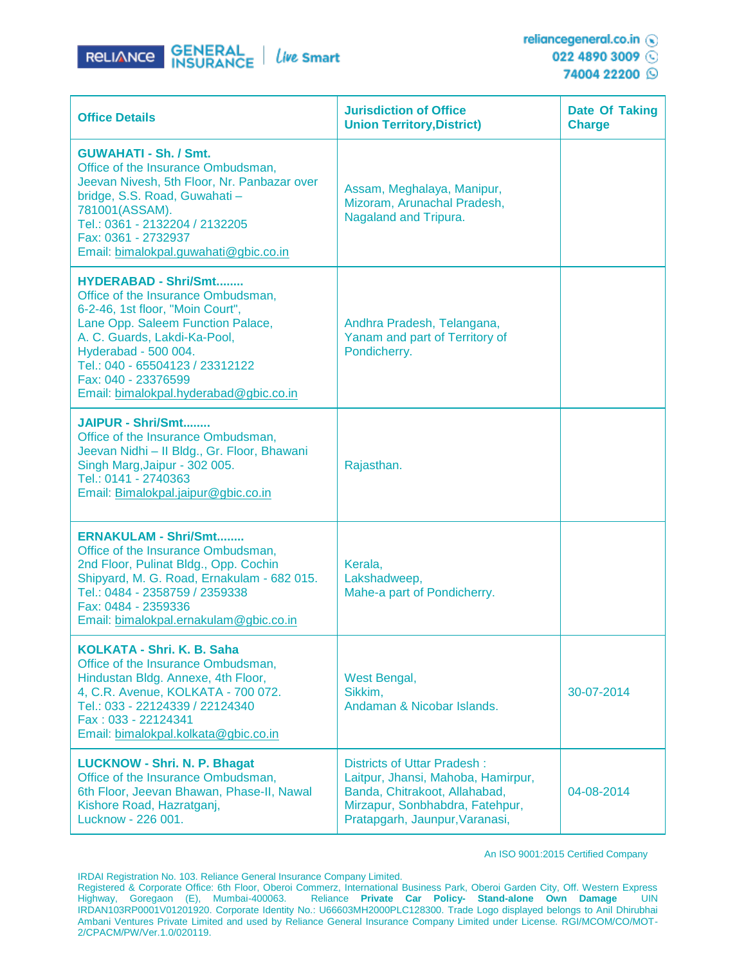

74004 22200 Q

| <b>Office Details</b>                                                                                                                                                                                                                                                                                  | <b>Jurisdiction of Office</b><br><b>Union Territory, District)</b>                                                                                                      | <b>Date Of Taking</b><br><b>Charge</b> |
|--------------------------------------------------------------------------------------------------------------------------------------------------------------------------------------------------------------------------------------------------------------------------------------------------------|-------------------------------------------------------------------------------------------------------------------------------------------------------------------------|----------------------------------------|
| <b>GUWAHATI - Sh. / Smt.</b><br>Office of the Insurance Ombudsman,<br>Jeevan Nivesh, 5th Floor, Nr. Panbazar over<br>bridge, S.S. Road, Guwahati -<br>781001(ASSAM).<br>Tel.: 0361 - 2132204 / 2132205<br>Fax: 0361 - 2732937<br>Email: bimalokpal.guwahati@gbic.co.in                                 | Assam, Meghalaya, Manipur,<br>Mizoram, Arunachal Pradesh,<br>Nagaland and Tripura.                                                                                      |                                        |
| <b>HYDERABAD - Shri/Smt</b><br>Office of the Insurance Ombudsman,<br>6-2-46, 1st floor, "Moin Court",<br>Lane Opp. Saleem Function Palace,<br>A. C. Guards, Lakdi-Ka-Pool,<br>Hyderabad - 500 004.<br>Tel.: 040 - 65504123 / 23312122<br>Fax: 040 - 23376599<br>Email: bimalokpal.hyderabad@gbic.co.in | Andhra Pradesh, Telangana,<br>Yanam and part of Territory of<br>Pondicherry.                                                                                            |                                        |
| JAIPUR - Shri/Smt<br>Office of the Insurance Ombudsman,<br>Jeevan Nidhi - II Bldg., Gr. Floor, Bhawani<br>Singh Marg, Jaipur - 302 005.<br>Tel.: 0141 - 2740363<br>Email: Bimalokpal.jaipur@gbic.co.in                                                                                                 | Rajasthan.                                                                                                                                                              |                                        |
| <b>ERNAKULAM - Shri/Smt</b><br>Office of the Insurance Ombudsman,<br>2nd Floor, Pulinat Bldg., Opp. Cochin<br>Shipyard, M. G. Road, Ernakulam - 682 015.<br>Tel.: 0484 - 2358759 / 2359338<br>Fax: 0484 - 2359336<br>Email: bimalokpal.ernakulam@gbic.co.in                                            | Kerala.<br>Lakshadweep,<br>Mahe-a part of Pondicherry.                                                                                                                  |                                        |
| <b>KOLKATA - Shri, K. B. Saha</b><br>Office of the Insurance Ombudsman,<br>Hindustan Bldg. Annexe, 4th Floor,<br>4, C.R. Avenue, KOLKATA - 700 072.<br>Tel.: 033 - 22124339 / 22124340<br>Fax: 033 - 22124341<br>Email: bimalokpal.kolkata@gbic.co.in                                                  | West Bengal,<br>Sikkim,<br>Andaman & Nicobar Islands.                                                                                                                   | 30-07-2014                             |
| <b>LUCKNOW - Shri. N. P. Bhagat</b><br>Office of the Insurance Ombudsman,<br>6th Floor, Jeevan Bhawan, Phase-II, Nawal<br>Kishore Road, Hazratganj,<br>Lucknow - 226 001.                                                                                                                              | Districts of Uttar Pradesh:<br>Laitpur, Jhansi, Mahoba, Hamirpur,<br>Banda, Chitrakoot, Allahabad,<br>Mirzapur, Sonbhabdra, Fatehpur,<br>Pratapgarh, Jaunpur, Varanasi, | 04-08-2014                             |

An ISO 9001:2015 Certified Company

IRDAI Registration No. 103. Reliance General Insurance Company Limited.

Registered & Corporate Office: 6th Floor, Oberoi Commerz, International Business Park, Oberoi Garden City, Off. Western Express Highway, Goregaon (E), Mumbai-400063. Reliance **Private Car Policy- Stand-alone Own Damage** UIN IRDAN103RP0001V01201920. Corporate Identity No.: U66603MH2000PLC128300. Trade Logo displayed belongs to Anil Dhirubhai Ambani Ventures Private Limited and used by Reliance General Insurance Company Limited under License. RGI/MCOM/CO/MOT-2/CPACM/PW/Ver.1.0/020119.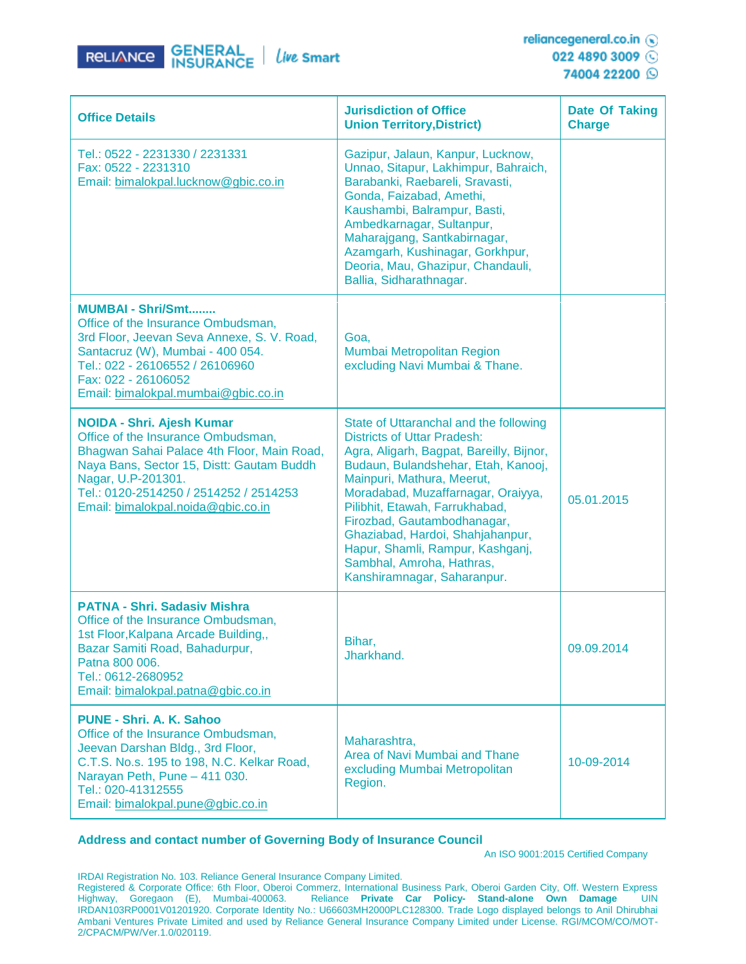

| <b>Office Details</b>                                                                                                                                                                                                                                                   | <b>Jurisdiction of Office</b><br><b>Union Territory, District)</b>                                                                                                                                                                                                                                                                                                                                                                       | Date Of Taking<br><b>Charge</b> |
|-------------------------------------------------------------------------------------------------------------------------------------------------------------------------------------------------------------------------------------------------------------------------|------------------------------------------------------------------------------------------------------------------------------------------------------------------------------------------------------------------------------------------------------------------------------------------------------------------------------------------------------------------------------------------------------------------------------------------|---------------------------------|
| Tel.: 0522 - 2231330 / 2231331<br>Fax: 0522 - 2231310<br>Email: bimalokpal.lucknow@gbic.co.in                                                                                                                                                                           | Gazipur, Jalaun, Kanpur, Lucknow,<br>Unnao, Sitapur, Lakhimpur, Bahraich,<br>Barabanki, Raebareli, Sravasti,<br>Gonda, Faizabad, Amethi,<br>Kaushambi, Balrampur, Basti,<br>Ambedkarnagar, Sultanpur,<br>Maharajgang, Santkabirnagar,<br>Azamgarh, Kushinagar, Gorkhpur,<br>Deoria, Mau, Ghazipur, Chandauli,<br>Ballia, Sidharathnagar.                                                                                                 |                                 |
| <b>MUMBAI - Shri/Smt</b><br>Office of the Insurance Ombudsman,<br>3rd Floor, Jeevan Seva Annexe, S. V. Road,<br>Santacruz (W), Mumbai - 400 054.<br>Tel.: 022 - 26106552 / 26106960<br>Fax: 022 - 26106052<br>Email: bimalokpal.mumbai@gbic.co.in                       | Goa.<br>Mumbai Metropolitan Region<br>excluding Navi Mumbai & Thane.                                                                                                                                                                                                                                                                                                                                                                     |                                 |
| <b>NOIDA - Shri. Ajesh Kumar</b><br>Office of the Insurance Ombudsman,<br>Bhagwan Sahai Palace 4th Floor, Main Road,<br>Naya Bans, Sector 15, Distt: Gautam Buddh<br>Nagar, U.P-201301.<br>Tel.: 0120-2514250 / 2514252 / 2514253<br>Email: bimalokpal.noida@gbic.co.in | State of Uttaranchal and the following<br><b>Districts of Uttar Pradesh:</b><br>Agra, Aligarh, Bagpat, Bareilly, Bijnor,<br>Budaun, Bulandshehar, Etah, Kanooj,<br>Mainpuri, Mathura, Meerut,<br>Moradabad, Muzaffarnagar, Oraiyya,<br>Pilibhit, Etawah, Farrukhabad,<br>Firozbad, Gautambodhanagar,<br>Ghaziabad, Hardoi, Shahjahanpur,<br>Hapur, Shamli, Rampur, Kashganj,<br>Sambhal, Amroha, Hathras,<br>Kanshiramnagar, Saharanpur. | 05.01.2015                      |
| <b>PATNA - Shri. Sadasiv Mishra</b><br>Office of the Insurance Ombudsman,<br>1st Floor, Kalpana Arcade Building,,<br>Bazar Samiti Road, Bahadurpur,<br>Patna 800 006.<br>Tel.: 0612-2680952<br>Email: bimalokpal.patna@gbic.co.in                                       | Bihar,<br>Jharkhand.                                                                                                                                                                                                                                                                                                                                                                                                                     | 09.09.2014                      |
| <b>PUNE - Shri. A. K. Sahoo</b><br>Office of the Insurance Ombudsman,<br>Jeevan Darshan Bldg., 3rd Floor,<br>C.T.S. No.s. 195 to 198, N.C. Kelkar Road,<br>Narayan Peth, Pune - 411 030.<br>Tel.: 020-41312555<br>Email: bimalokpal.pune@gbic.co.in                     | Maharashtra,<br>Area of Navi Mumbai and Thane<br>excluding Mumbai Metropolitan<br>Region.                                                                                                                                                                                                                                                                                                                                                | 10-09-2014                      |

#### **Address and contact number of Governing Body of Insurance Council**

#### An ISO 9001:2015 Certified Company